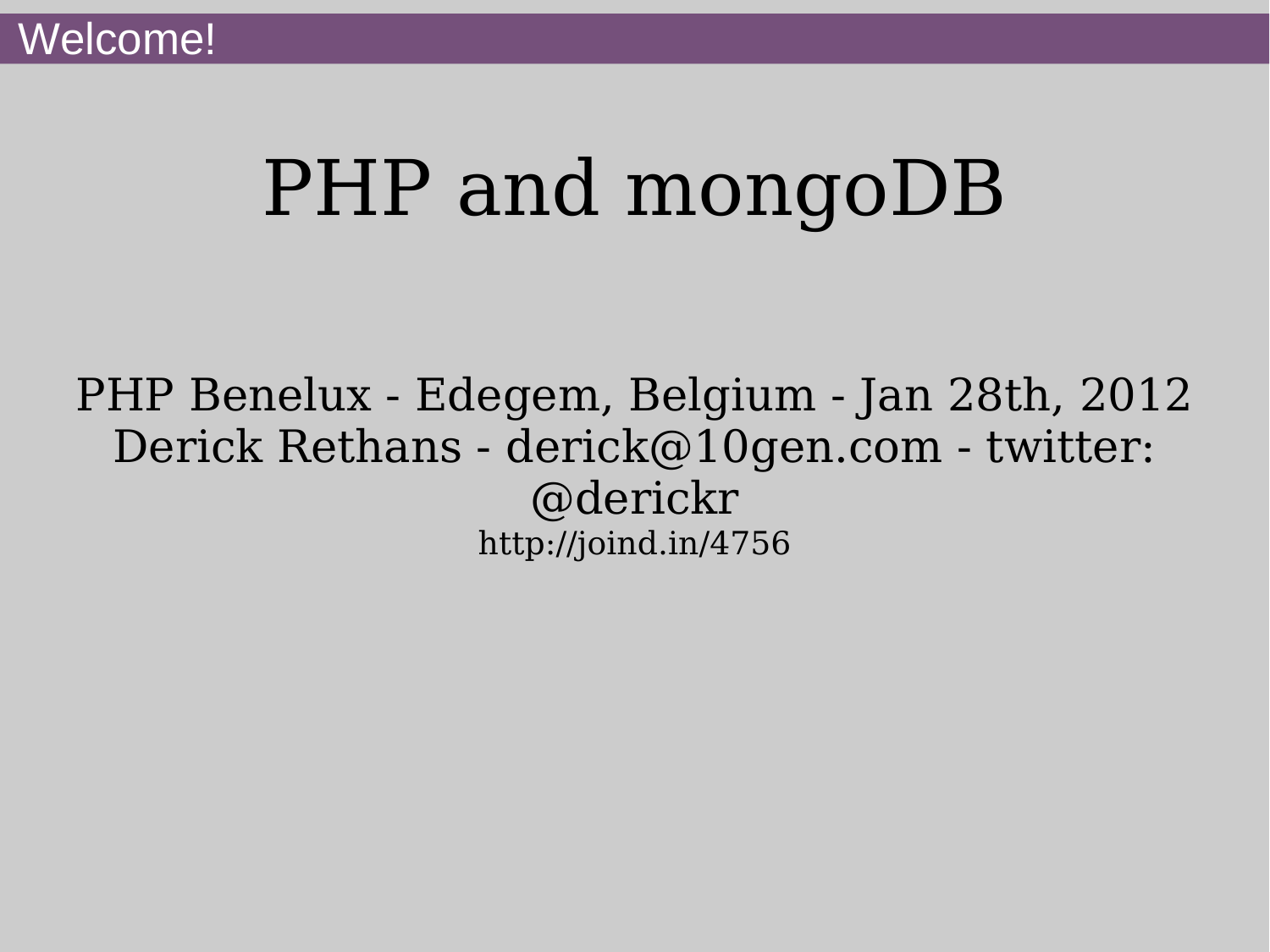# PHP and mongoDB

PHP Benelux - Edegem, Belgium - Jan 28th, 2012 Derick Rethans - derick@10gen.com - twitter: @derickr http://joind.in/4756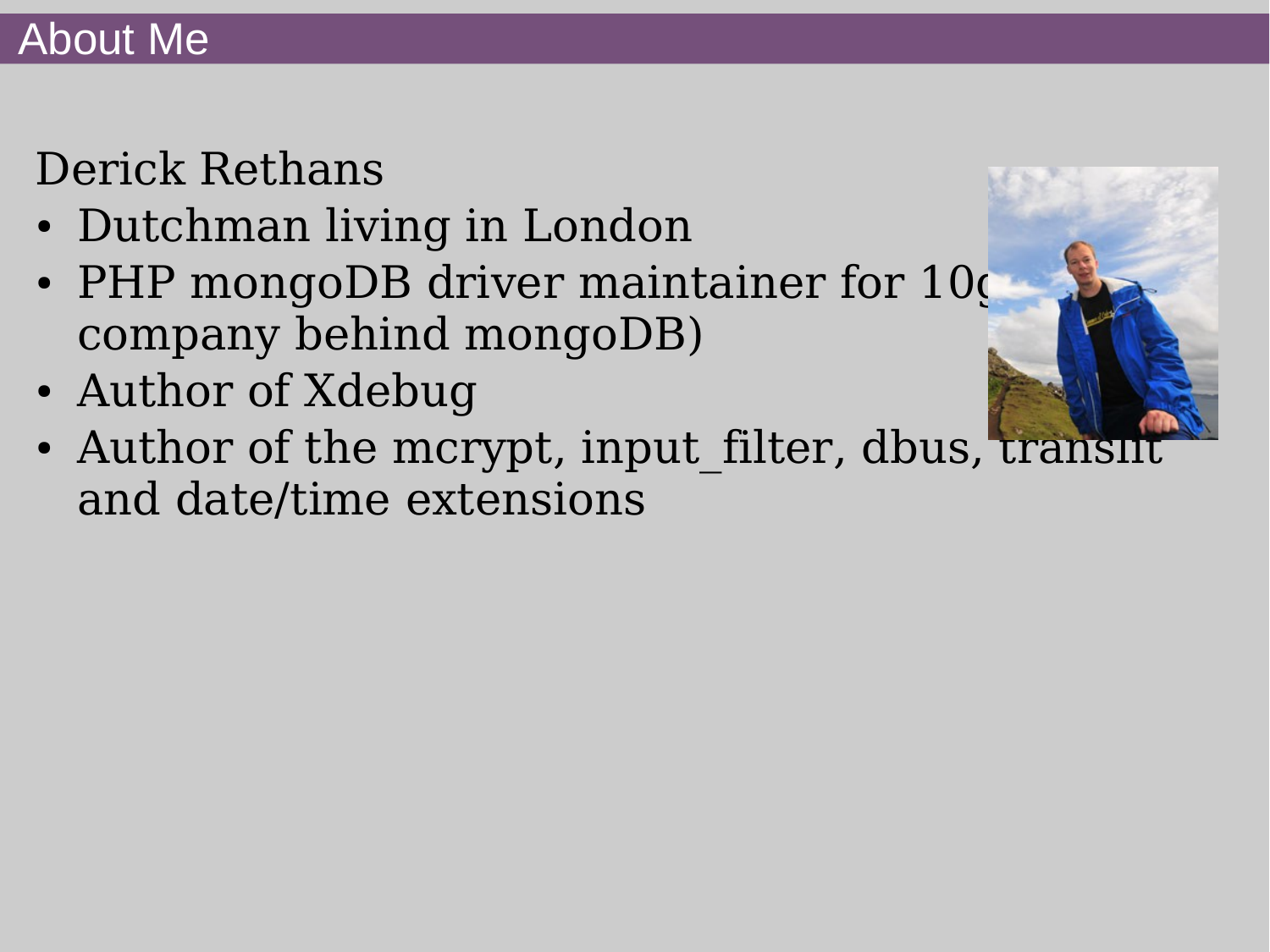# Derick Rethans

- Dutchman living in London
- PHP mongoDB driver maintainer for 10g company behind mongoDB)
- Author of Xdebug
- Author of the mcrypt, input filter, dbus, translit and date/time extensions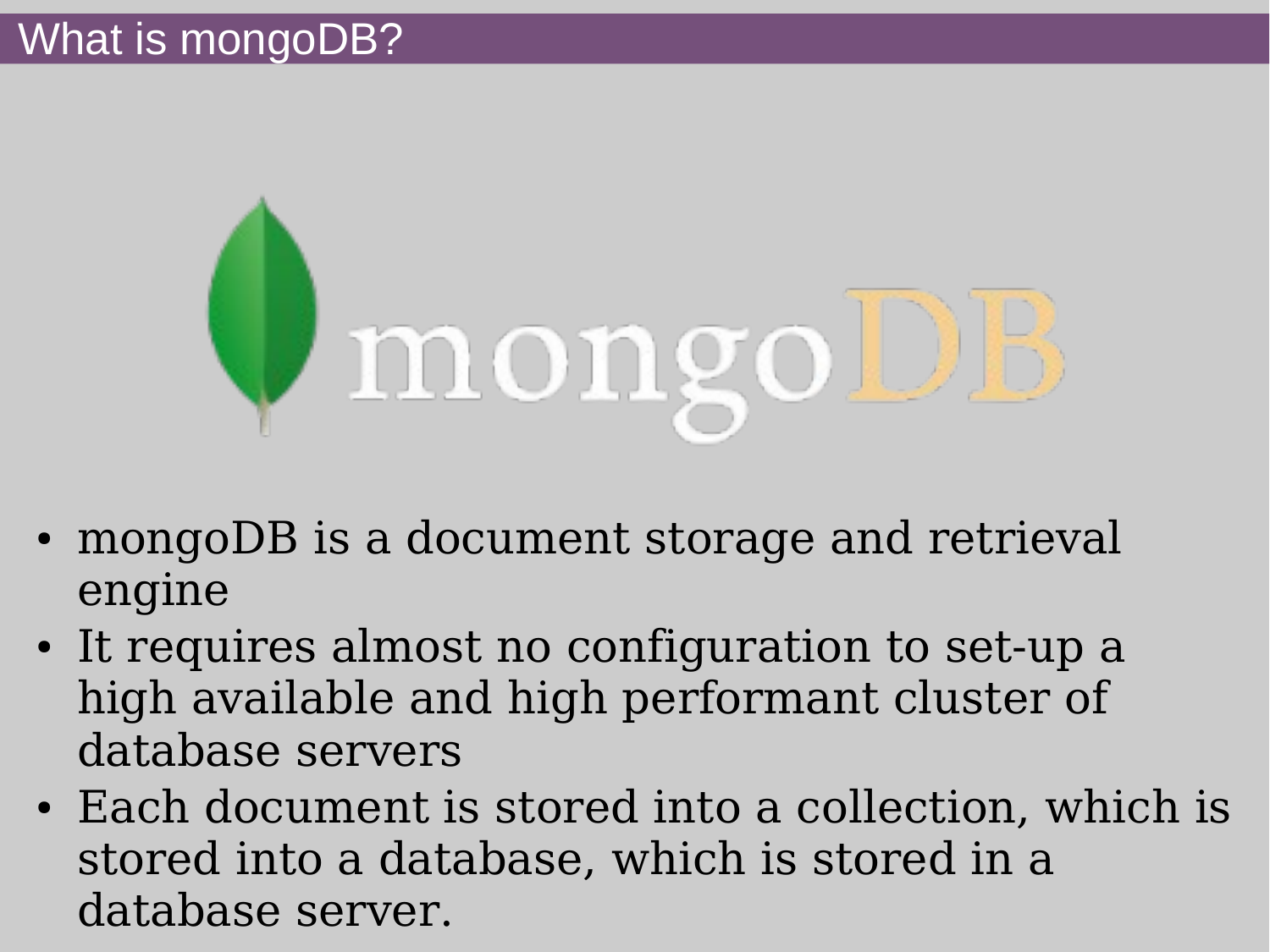

- mongoDB is a document storage and retrieval engine
- It requires almost no configuration to set-up a high available and high performant cluster of database servers
- Each document is stored into a collection, which is stored into a database, which is stored in a database server.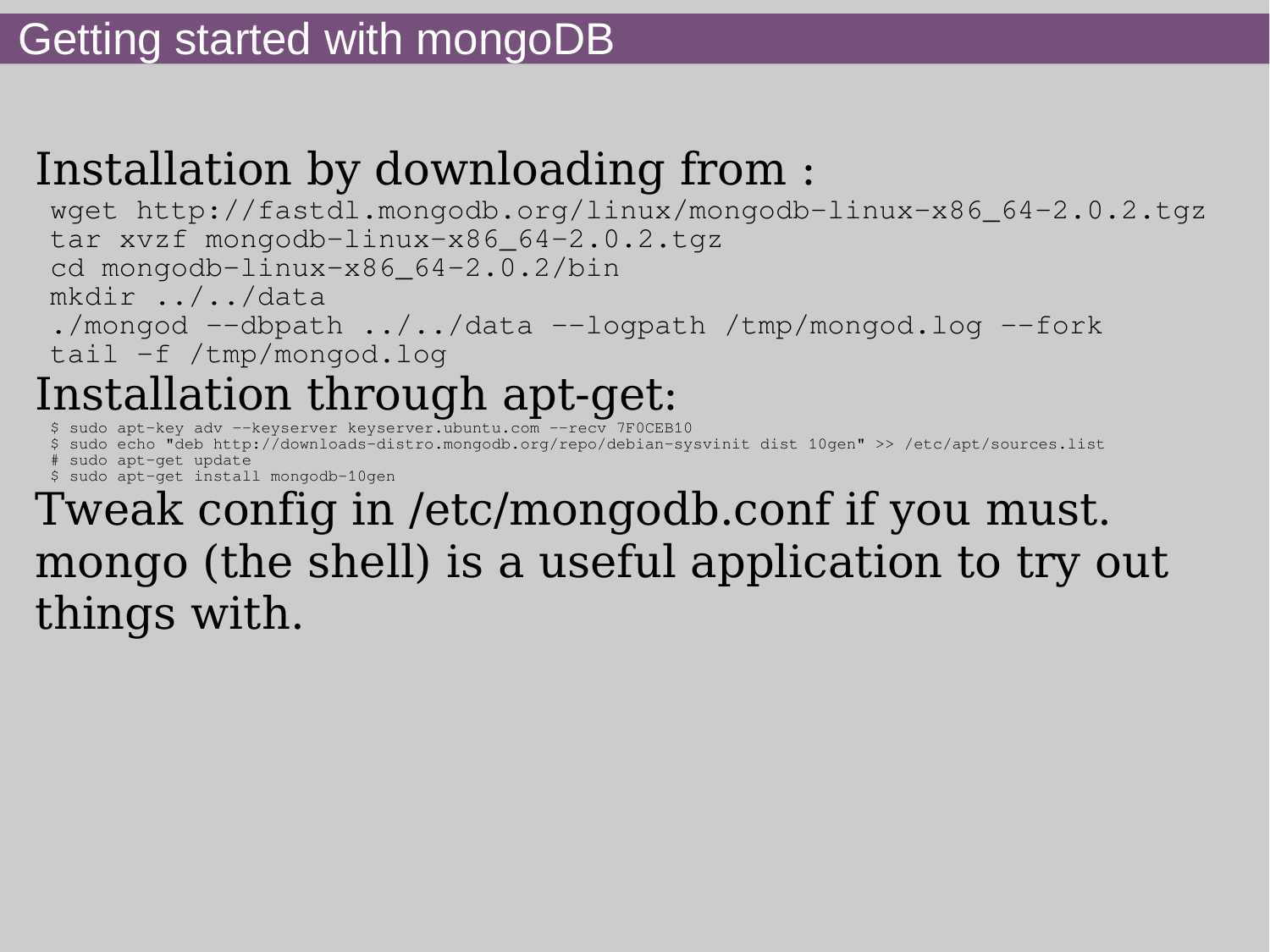## Installation by downloading from :

wget http://fastdl.mongodb.org/linux/mongodb-linux-x86\_64-2.0.2.tgz tar xvzf mongodb-linux-x86\_64-2.0.2.tgz cd mongodb-linux-x86\_64-2.0.2/bin mkdir ../../data ./mongod --dbpath ../../data --logpath /tmp/mongod.log --fork tail -f /tmp/mongod.log Installation through apt-get:

\$ sudo apt-key adv --keyserver keyserver.ubuntu.com --recv 7F0CEB10

\$ sudo echo "deb http://downloads-distro.mongodb.org/repo/debian-sysvinit dist 10gen" >> /etc/apt/sources.list # sudo apt-get update \$ sudo apt-get install mongodb-10gen

Tweak config in /etc/mongodb.conf if you must. mongo (the shell) is a useful application to try out things with.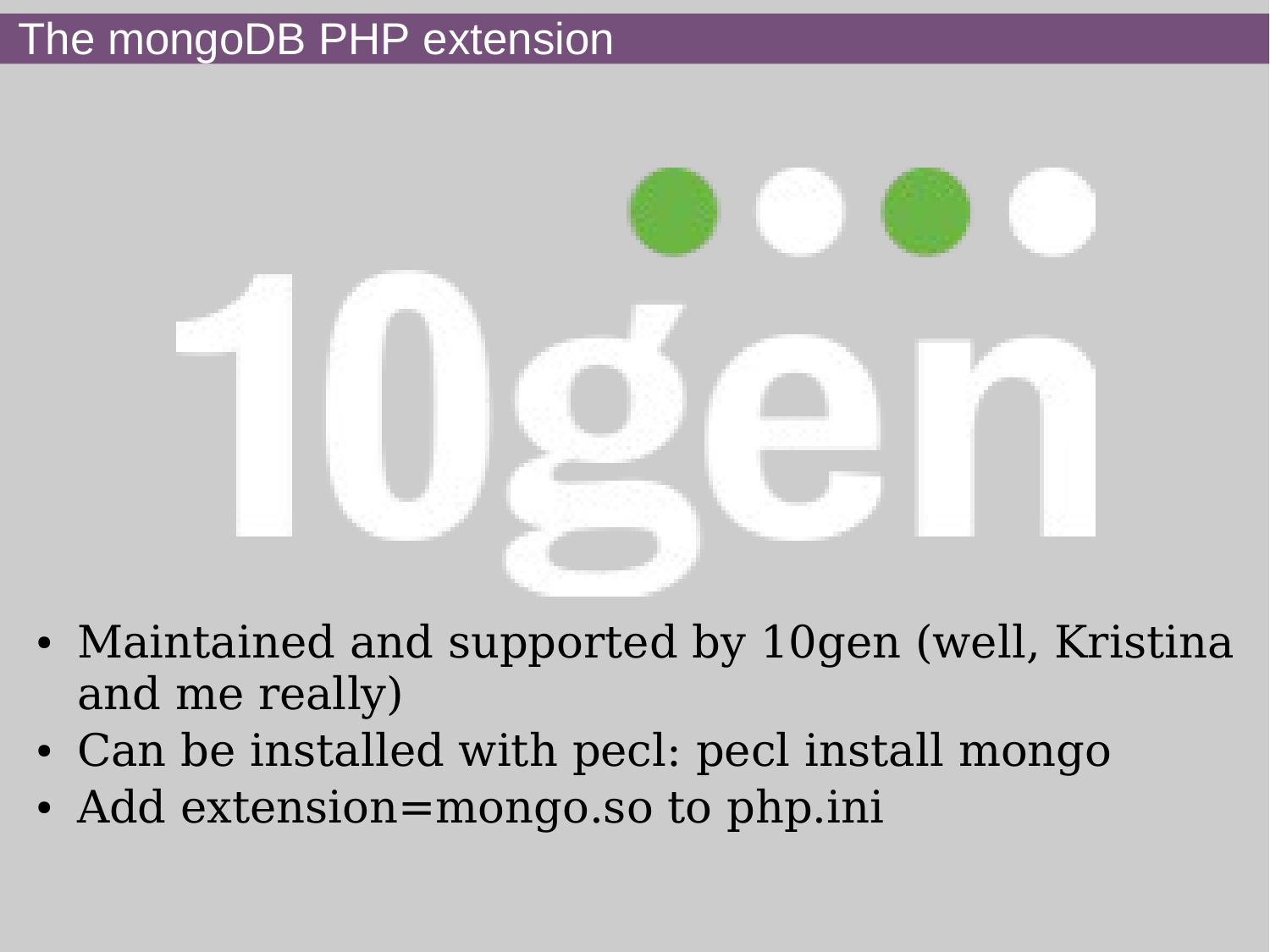## The mongoDB PHP extension



- Maintained and supported by 10gen (well, Kristina and me really)
- Can be installed with pecl: pecl install mongo
- Add extension=mongo.so to php.ini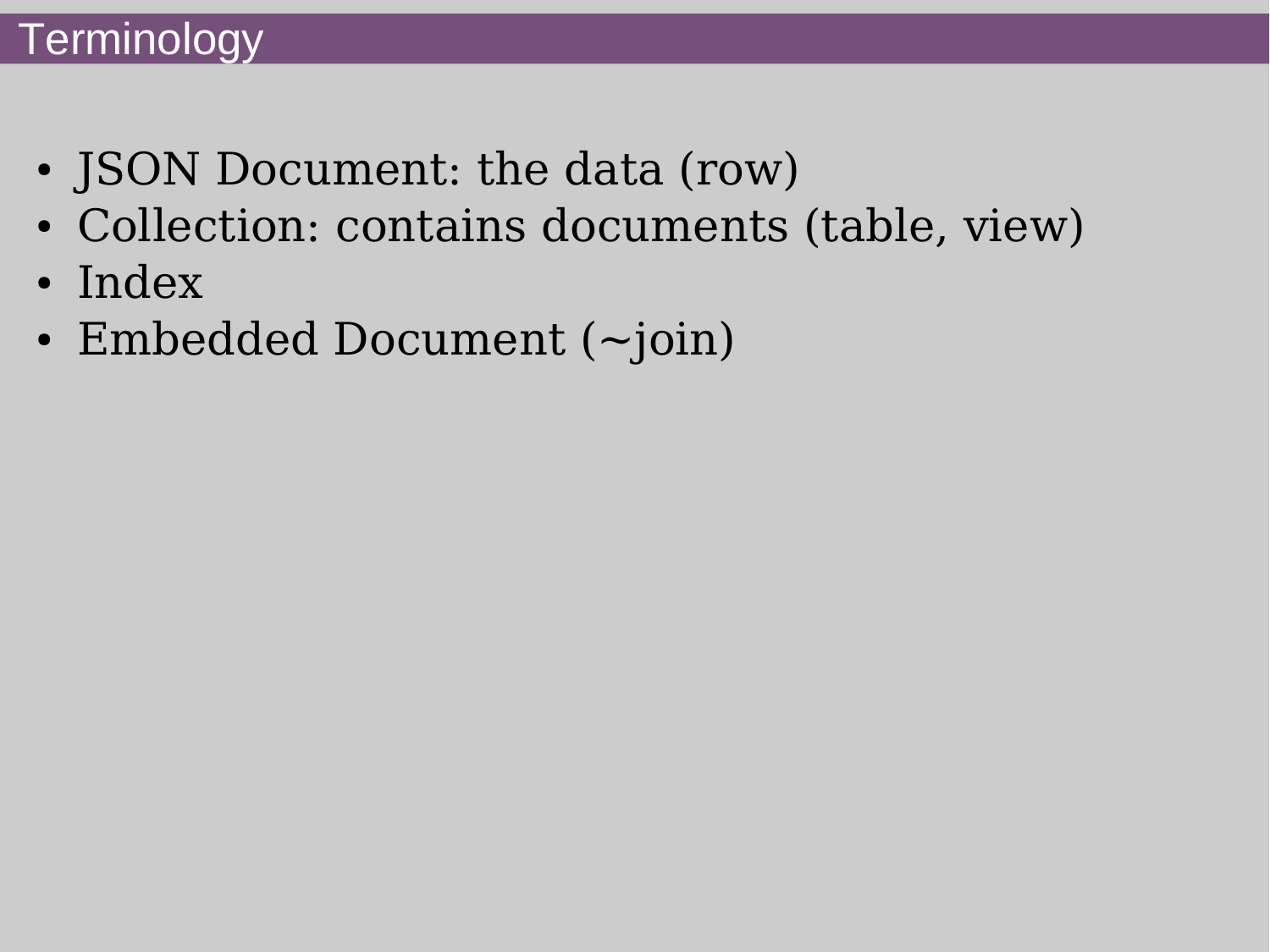## **Terminology**

- JSON Document: the data (row)
- Collection: contains documents (table, view)
- Index
- Embedded Document  $(\sim)$ join)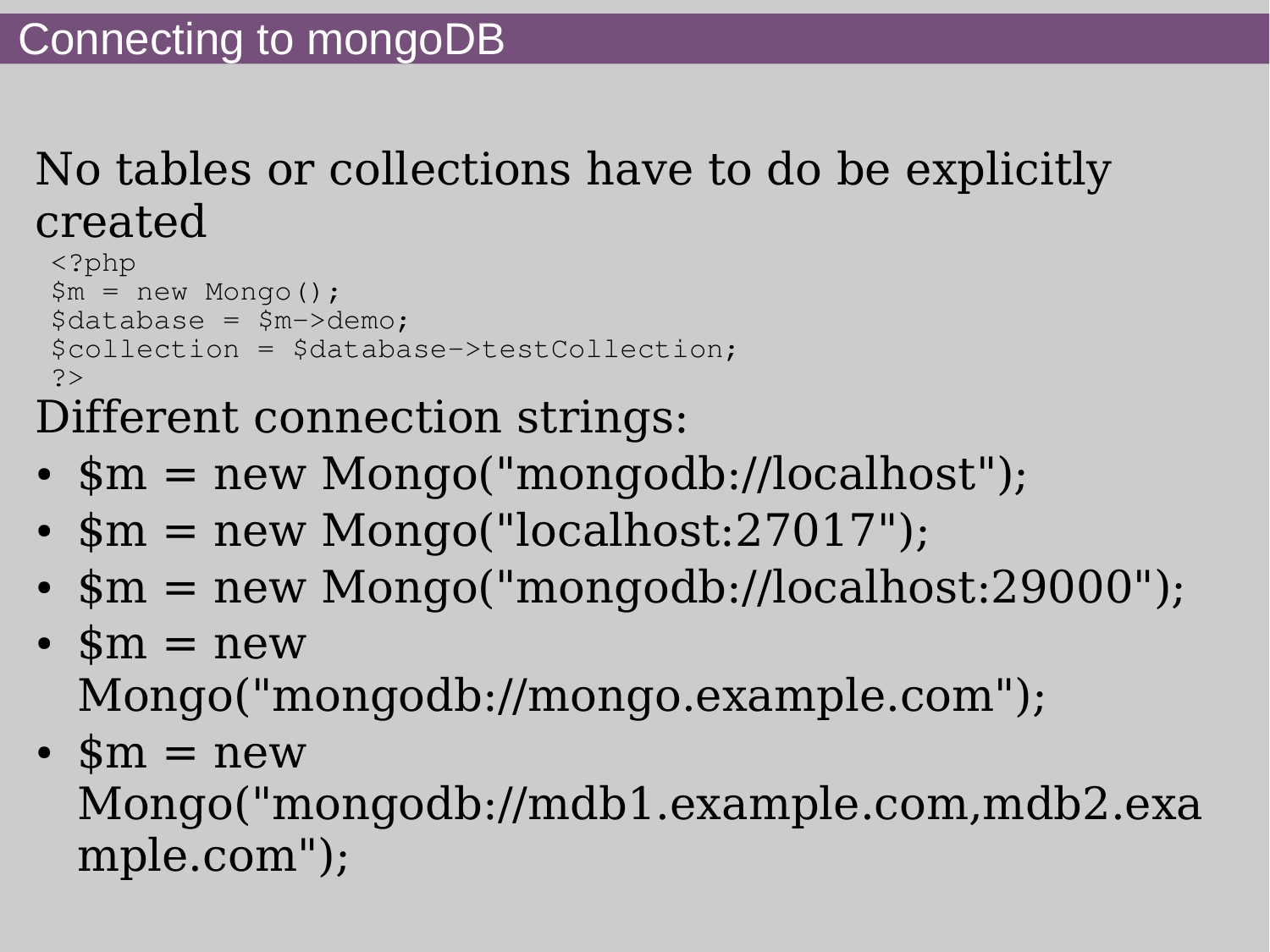## No tables or collections have to do be explicitly created

```
<?php
$m = new Monqo();
\deltadatabase = \deltam->demo;
$collection = $database->testCollection;
?>
```
Different connection strings:

- $\sin =$  new Mongo("mongodb://localhost");
- $\sin =$  new Mongo("localhost:27017");
- $\mathfrak{m}$  = new Mongo("mongodb://localhost:29000");
- $\mathfrak{m} = \text{new}$ Mongo("mongodb://mongo.example.com");
- $\mathfrak{m} = \text{new}$ Mongo("mongodb://mdb1.example.com,mdb2.exa mple.com");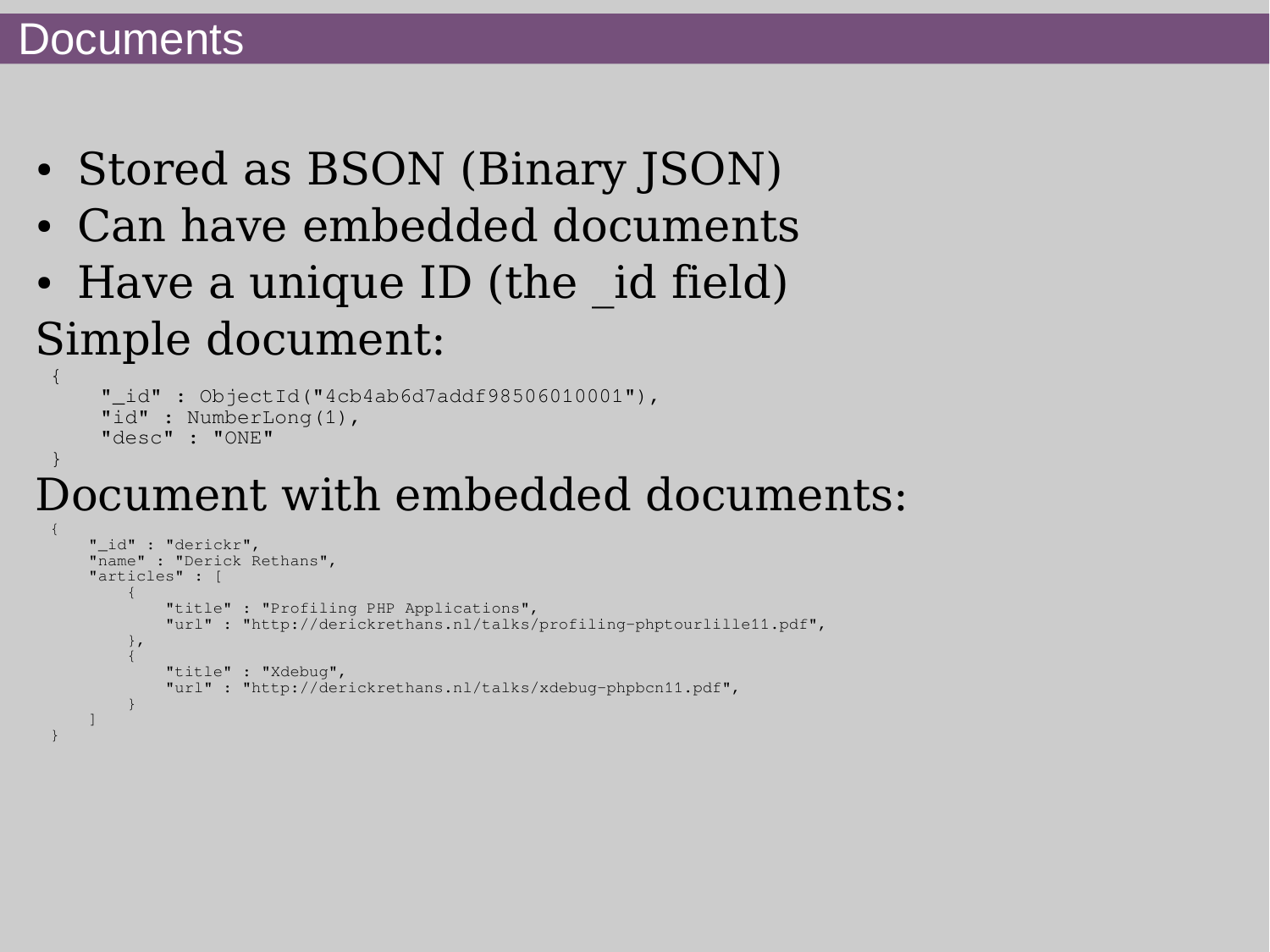#### **Documents**

- Stored as BSON (Binary JSON)
- Can have embedded documents
- Have a unique ID (the id field) Simple document: {

```
"_id": ObjectId("4cb4ab6d7addf98506010001"),
     "id" : NumberLong(1),
     "desc" : "ONE"
}
```
# Document with embedded documents:

```
{
             "_id" : "derickr",
             "name" : "Derick Rethans",
             "articles" : [
\left\{ \begin{array}{cc} 0 & 0 & 0 \\ 0 & 0 & 0 \\ 0 & 0 & 0 \\ 0 & 0 & 0 \\ 0 & 0 & 0 \\ 0 & 0 & 0 \\ 0 & 0 & 0 \\ 0 & 0 & 0 \\ 0 & 0 & 0 \\ 0 & 0 & 0 \\ 0 & 0 & 0 \\ 0 & 0 & 0 \\ 0 & 0 & 0 & 0 \\ 0 & 0 & 0 & 0 \\ 0 & 0 & 0 & 0 \\ 0 & 0 & 0 & 0 & 0 \\ 0 & 0 & 0 & 0 & 0 \\ 0 & 0 & 0 & 0 & 0 \\ 0 & 0 & 0 & 0 & 0 & 0 \\ 0 "title" : "Profiling PHP Applications",
                                       "url" : "http://derickrethans.nl/talks/profiling-phptourlille11.pdf",
                          },
\left\{ \begin{array}{ccc} 0 & 0 & 0 \\ 0 & 0 & 0 \\ 0 & 0 & 0 \\ 0 & 0 & 0 \\ 0 & 0 & 0 \\ 0 & 0 & 0 \\ 0 & 0 & 0 \\ 0 & 0 & 0 \\ 0 & 0 & 0 \\ 0 & 0 & 0 \\ 0 & 0 & 0 \\ 0 & 0 & 0 \\ 0 & 0 & 0 \\ 0 & 0 & 0 & 0 \\ 0 & 0 & 0 & 0 \\ 0 & 0 & 0 & 0 \\ 0 & 0 & 0 & 0 & 0 \\ 0 & 0 & 0 & 0 & 0 \\ 0 & 0 & 0 & 0 & 0 \\ 0 & 0 & 0 & 0 "title" : "Xdebug",
                                       "url" : "http://derickrethans.nl/talks/xdebug-phpbcn11.pdf",
 }
\blacksquare}
```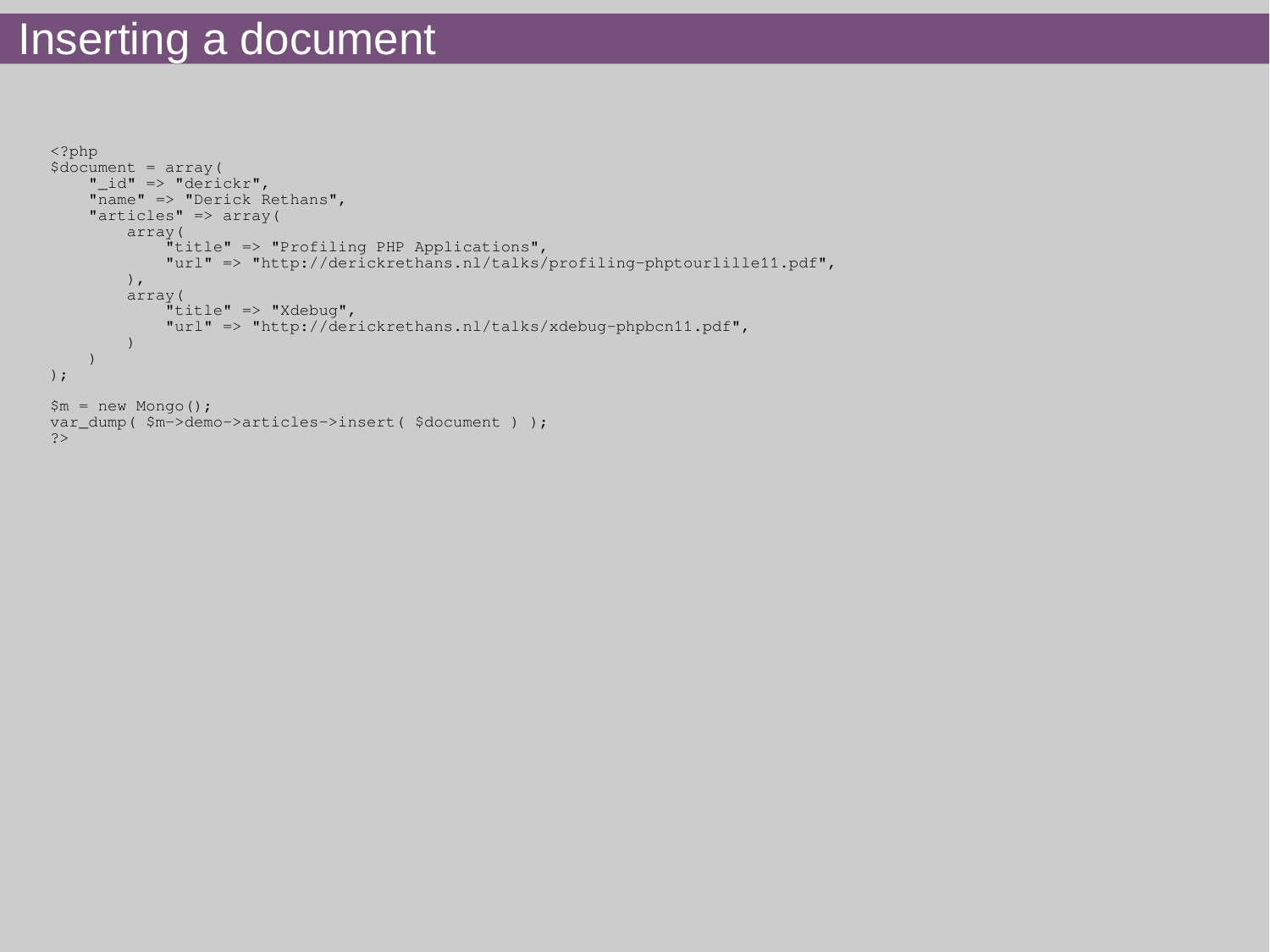## Inserting a document

```
<?php
$document = array("id" => "derickr",
     "name" => "Derick Rethans",
    "articles" => array(
         array(
              "title" => "Profiling PHP Applications",
              "url" => "http://derickrethans.nl/talks/profiling-phptourlille11.pdf",
          ),
          array(
              "title" => "Xdebug",
              "url" => "http://derickrethans.nl/talks/xdebug-phpbcn11.pdf",
\overline{\phantom{a}}\overline{\phantom{a}});
$m = new Monqo();var_dump( $m->demo->articles->insert( $document ) );
?>
```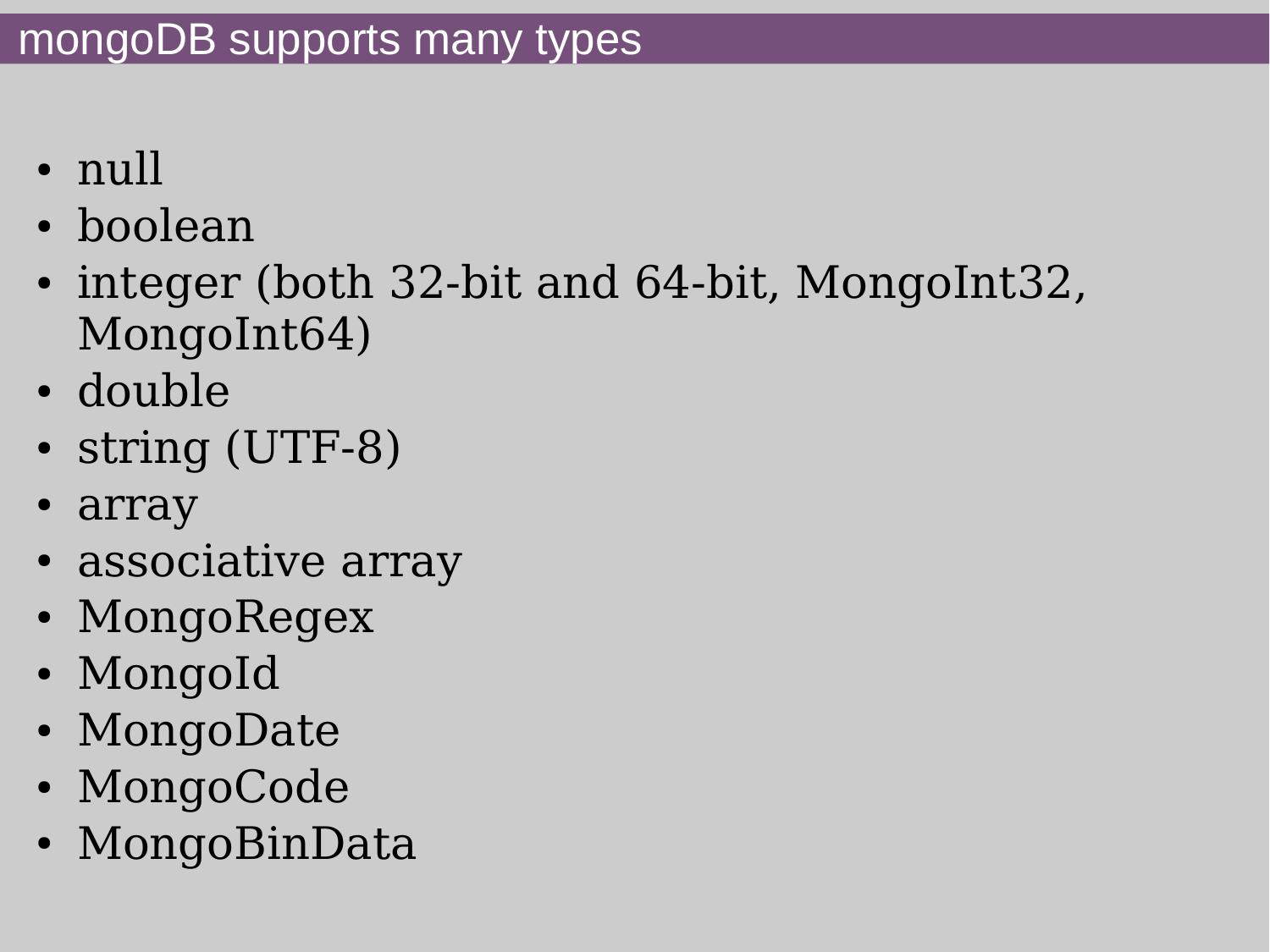- null
- boolean
- integer (both 32-bit and 64-bit, MongoInt32, MongoInt64)
- double
- string (UTF-8)
- array
- associative array
- MongoRegex
- MongoId
- MongoDate
- MongoCode
- MongoBinData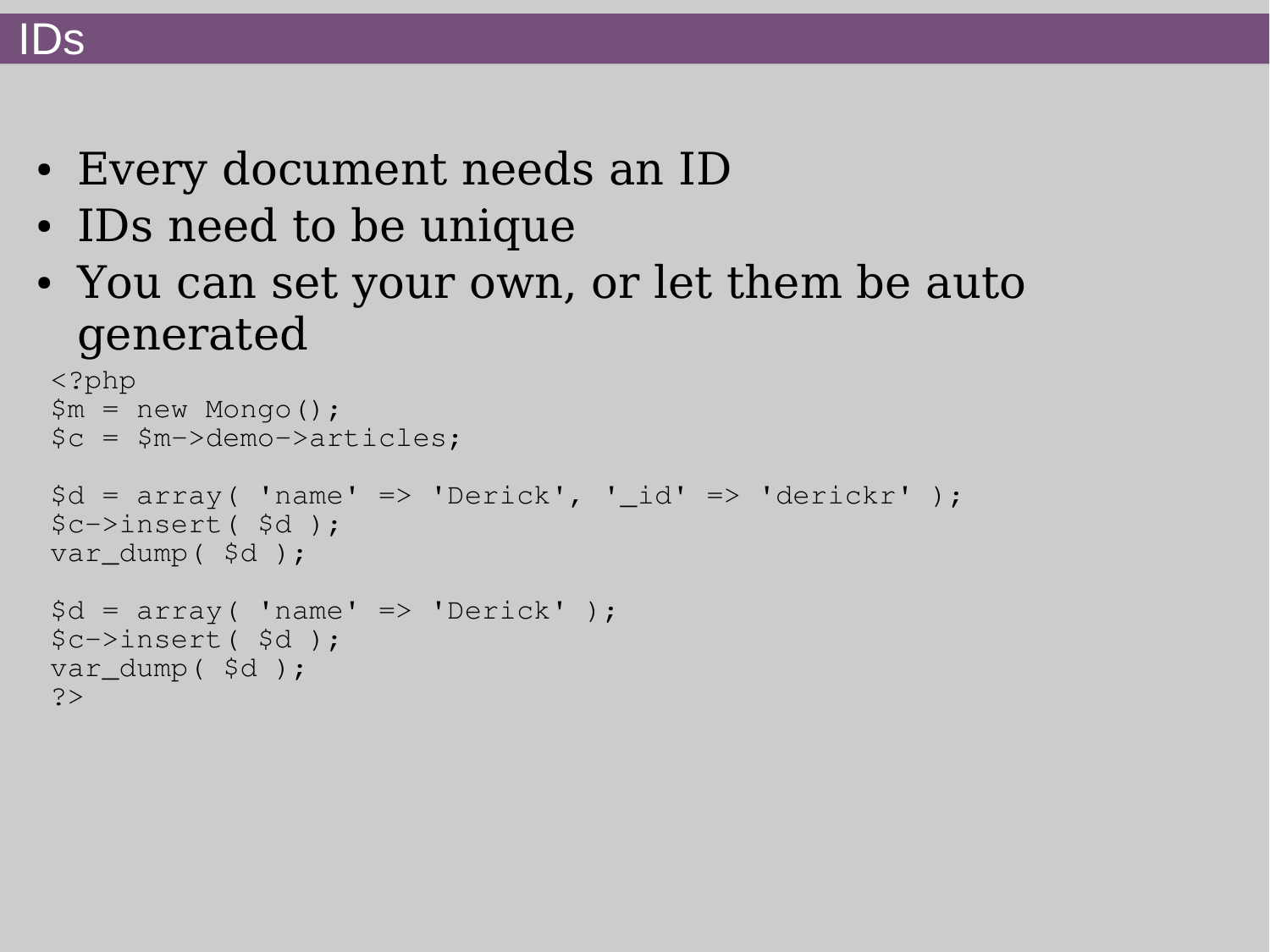#### IDs

- Every document needs an ID
- IDs need to be unique
- You can set your own, or let them be auto generated

```
<?php
$m = new Monqo();
$c = $m->demo->articles;
\daggerd = array( 'name' => 'Derick', '_id' => 'derickr' );
$c->insert( $d );
var dump($d);
\daggerd = array( 'name' => 'Derick' );
$c->insert( $d );
var_dump( $d );
?>
```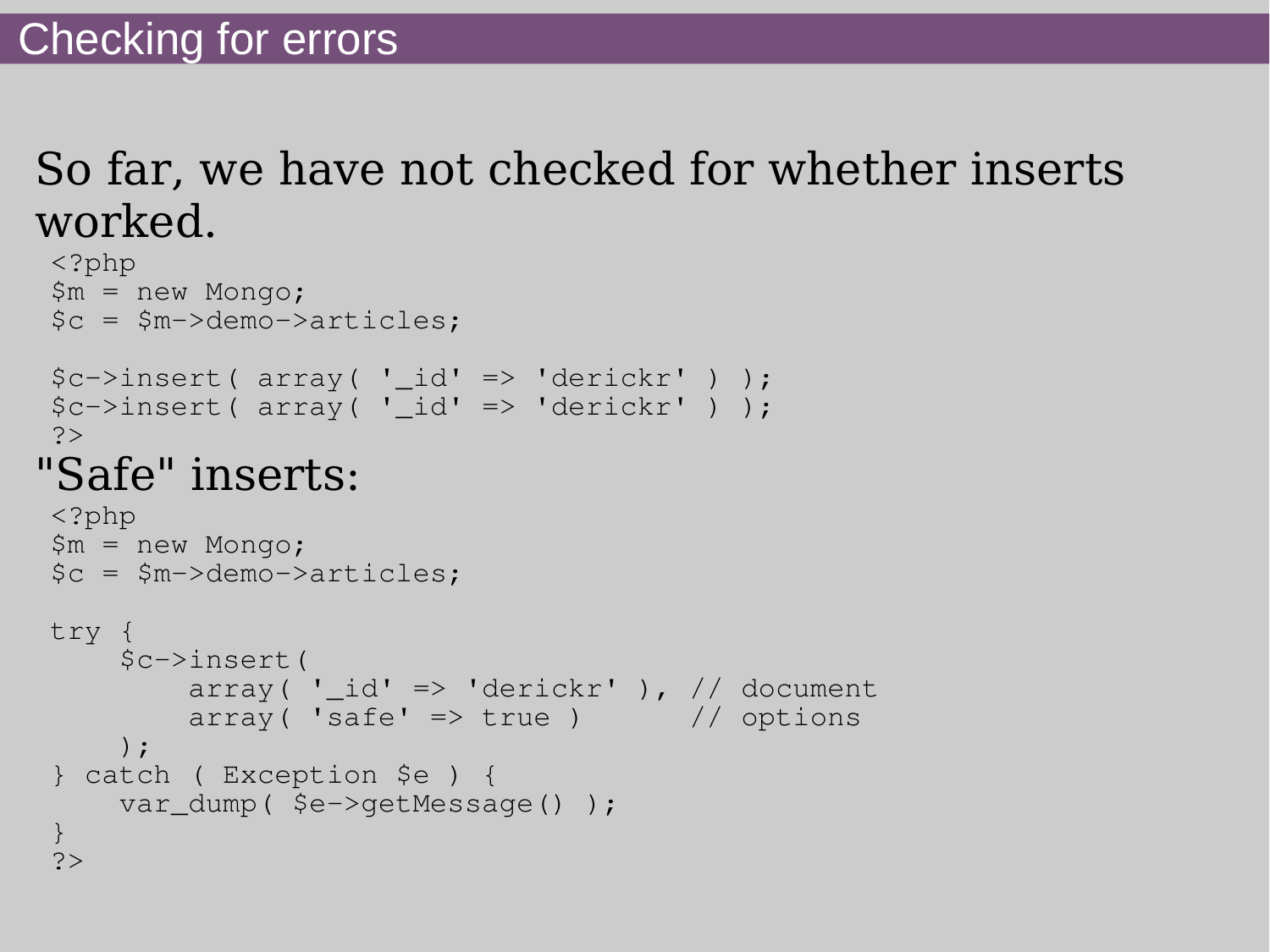## So far, we have not checked for whether inserts worked.

```
<?php
$m = new Mongo;
$c = $m->demo->articles;
\frac{\zeta}{c}->insert( array( ' id' => 'derickr' ) );
$c->insert(array('id' => 'derickr') );
?>
"Safe" inserts:
<?php
$m = new Mongo;
$c = $m->demo->articles;
try {
      $c->insert(
         array('_id' => 'derickr'), // document
         array( 'safe' \Rightarrow true ) // options
      );
} catch ( Exception $e ) {
    var_dump( $e->getMessage() );
}
?>
```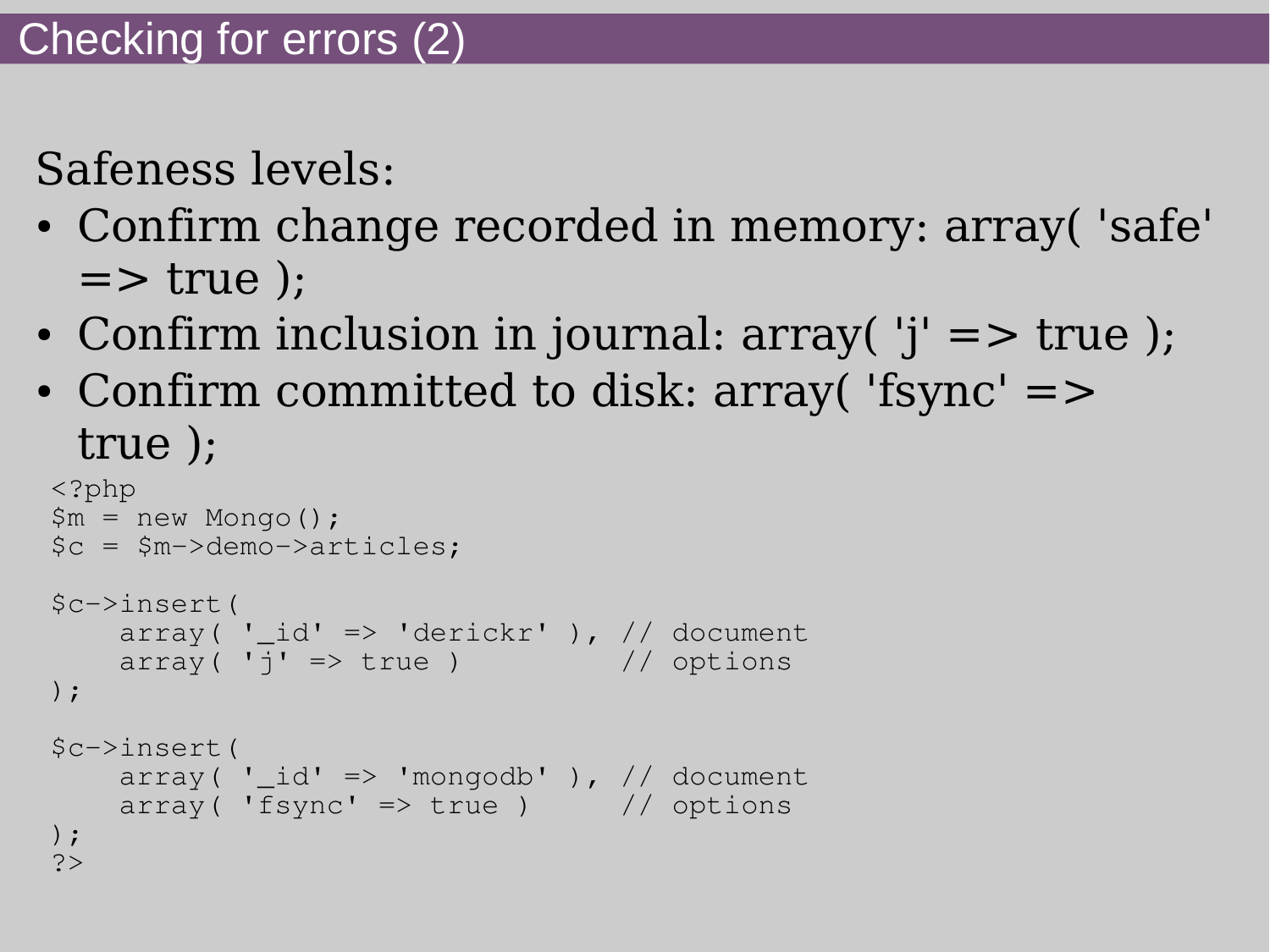Safeness levels:

- Confirm change recorded in memory: array('safe'  $\Rightarrow$  true  $)$ ;
- Confirm inclusion in journal:  $array('j' => true)$ ;
- Confirm committed to disk: array('fsync' => true );

```
<?php
$m = new Monqo();
$c = $m->demo->articles;
$c->insert(
    array( '_id' => 'derickr' ), // document
   array('j' => true ) // options
);
$c->insert(
   array('_id' => 'mongodb' ), // document
    array( 'fsync' \Rightarrow true ) // options
);
?>
```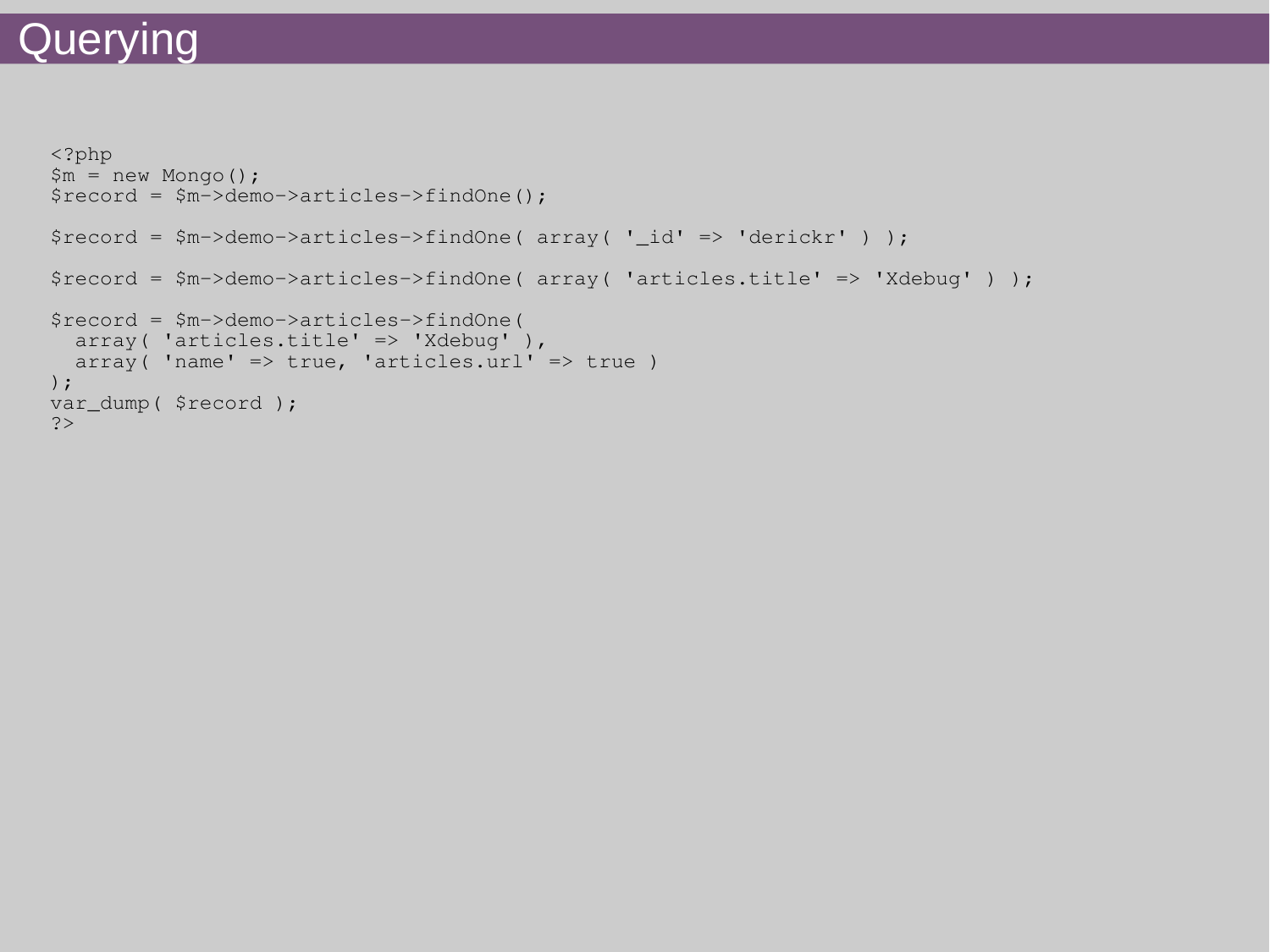#### Querying

```
<?php
$m = new Monqo();
$record = $m->demo->articles->findOne();
$record = $m->demo->articles->findOne( array( '_id' => 'derickr' ) );
$record = $m->demo->articles->findOne( array( 'articles.title' => 'Xdebug' ) );
$record = $m->demo->articles->findOne(
   array( 'articles.title' => 'Xdebug' ),
  array( 'name' => true, 'articles.url' => true )
);
var_dump( $record );
?>
```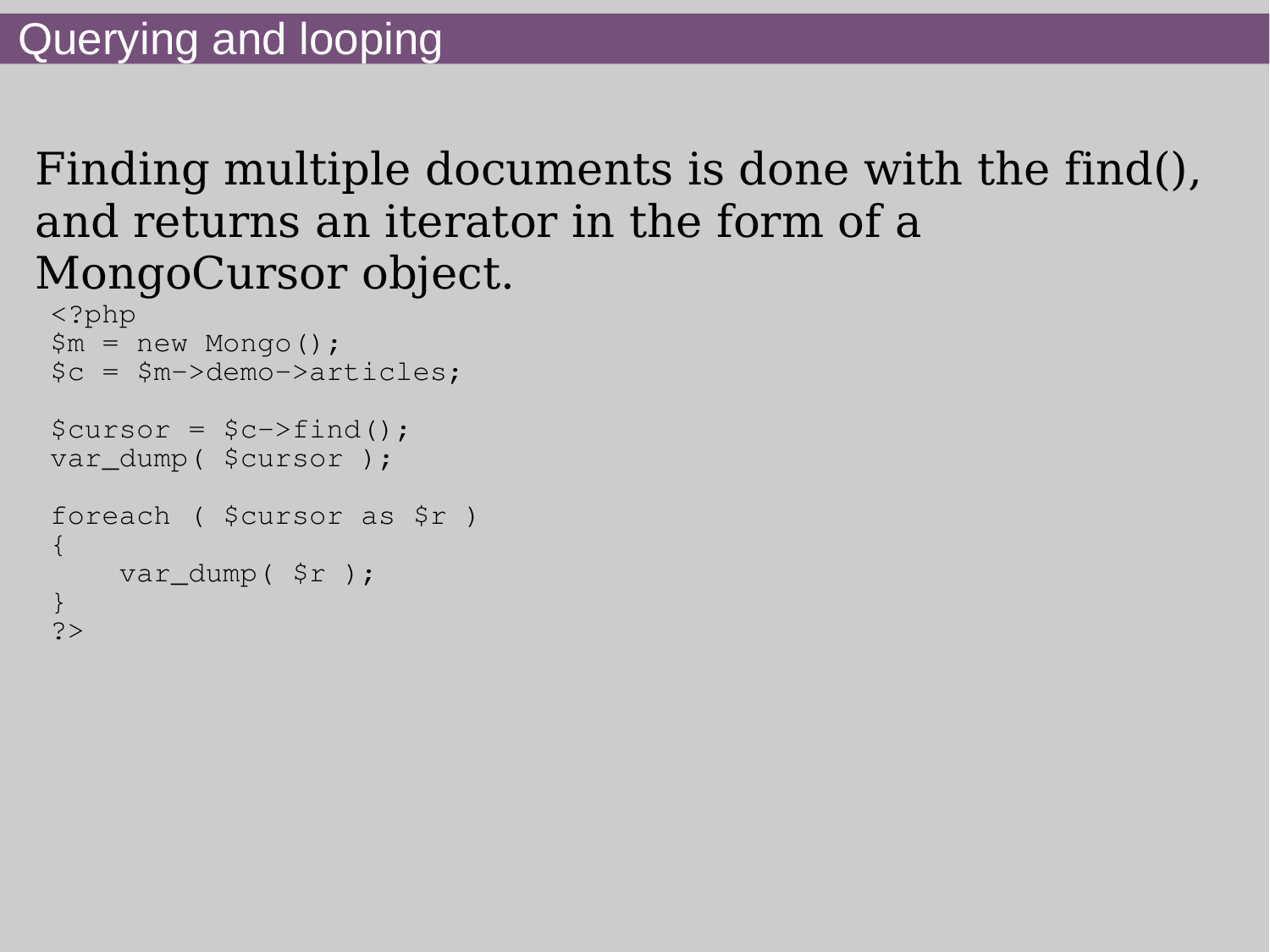## Finding multiple documents is done with the find(), and returns an iterator in the form of a MongoCursor object.

```
<?php
$m = new Monqo();
$c = $m->demo->articles;
$cursor = $c->find();
var_dump( $cursor );
foreach ( $cursor as $r )
\{ var_dump( $r );
}
?>
```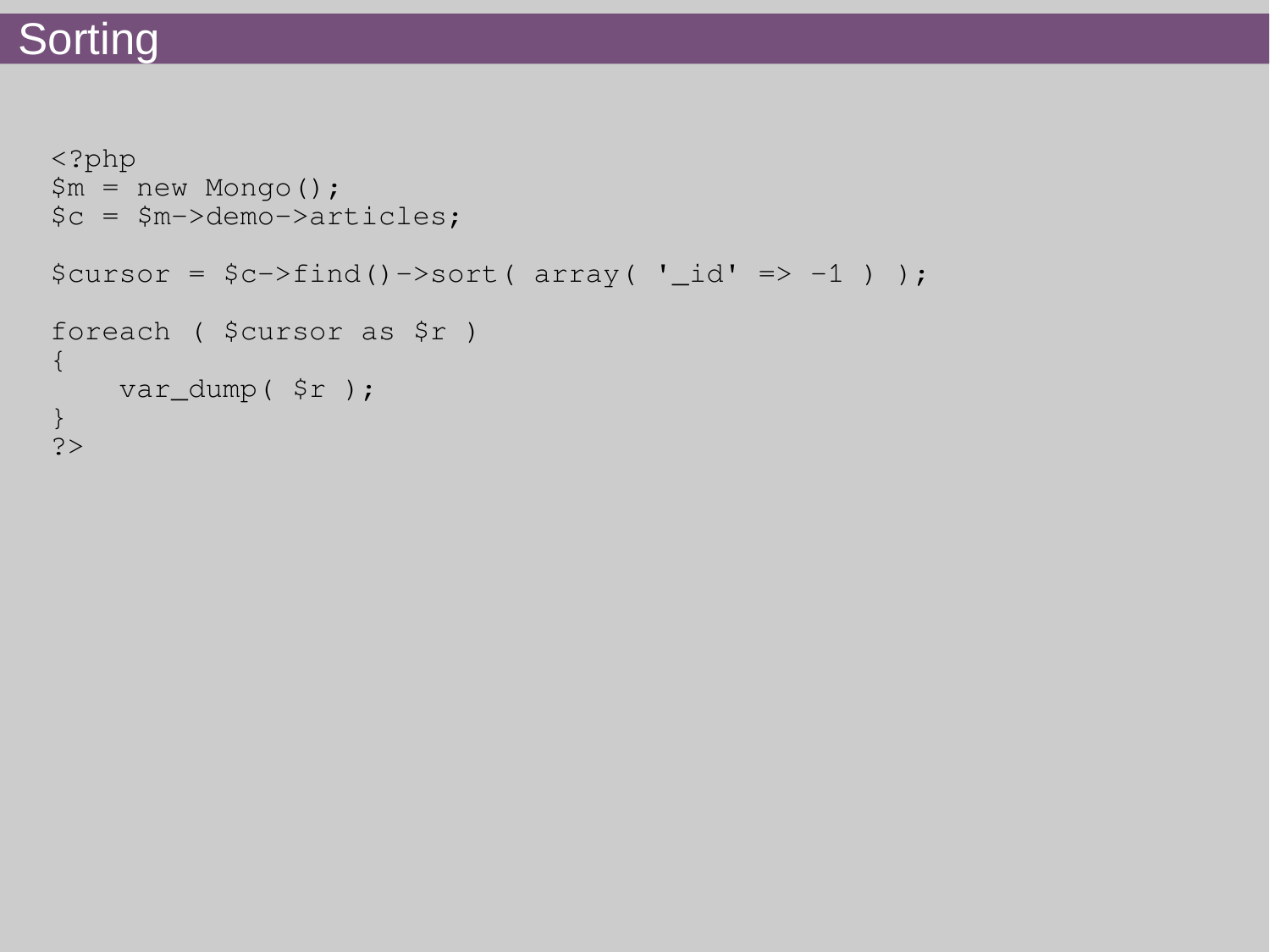## **Sorting**

```
<?php
$m = new Mongo();
$c = $m->demo->articles;
\text{Scursor} = \text{Sc->find()} \rightarrow \text{sort}( \text{array('\_id' => -1 ) };foreach ( $cursor as $r )
{
     var_dump( $r );
}
?>
```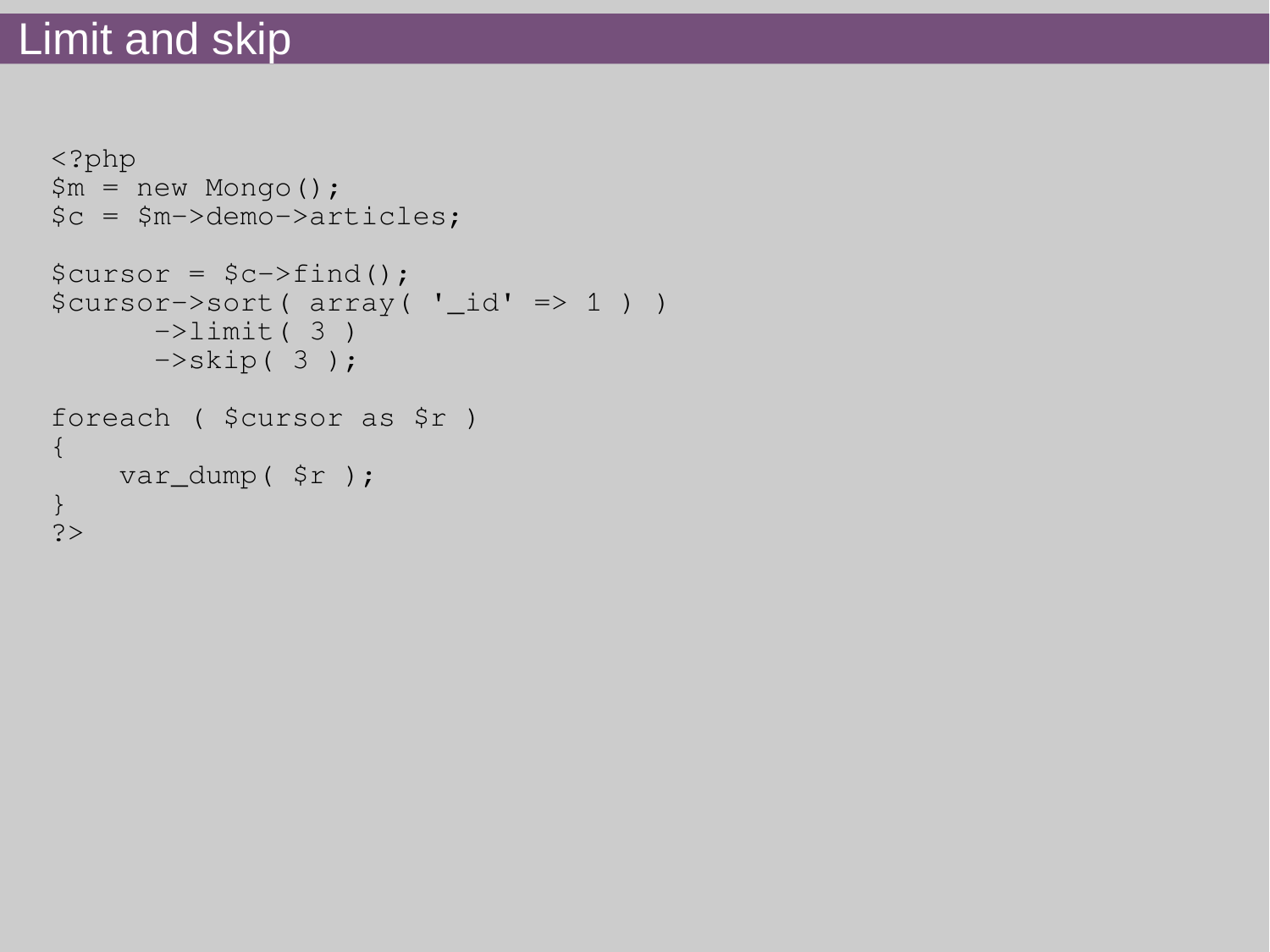## Limit and skip

```
<?php
$m = new Mongo();$c = $m->demo->articles;
\text{Scursor} = \text{Sc-}>\text{find}();
$cursor->sort( array( '_id' => 1 ) )
       \rightarrowlimit(3)
       \rightarrowskip(3);
foreach ( $cursor as $r )
{
     var_dump( $r );
}
?>
```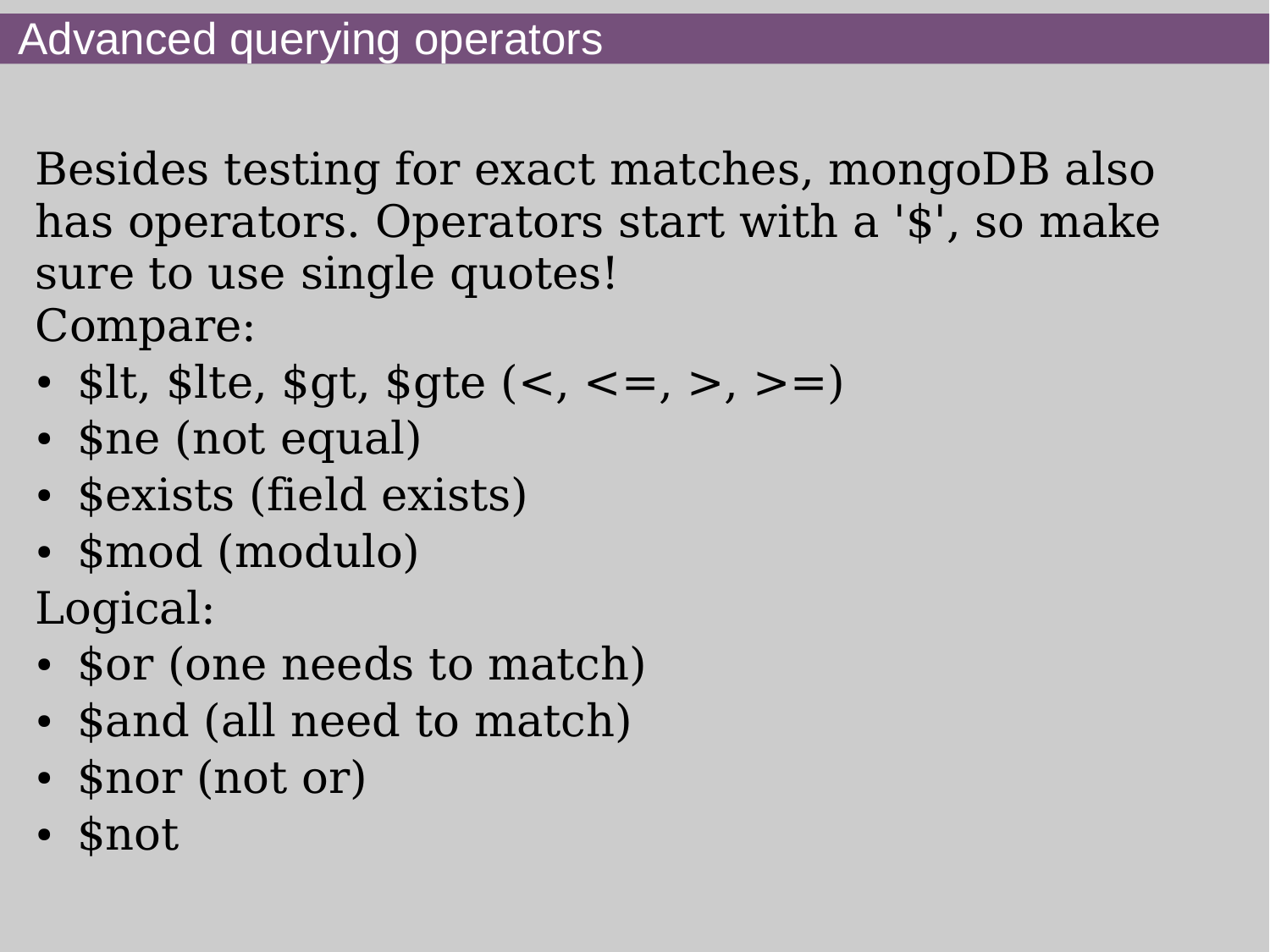Besides testing for exact matches, mongoDB also has operators. Operators start with a '\$', so make sure to use single quotes! Compare:

- \$lt, \$lte, \$gt, \$gte  $(<, <=, >, >=)$
- \$ne (not equal)
- \$exists (field exists)
- \$mod (modulo)

Logical:

- \$or (one needs to match)
- \$and (all need to match)
- \$nor (not or)
- \$not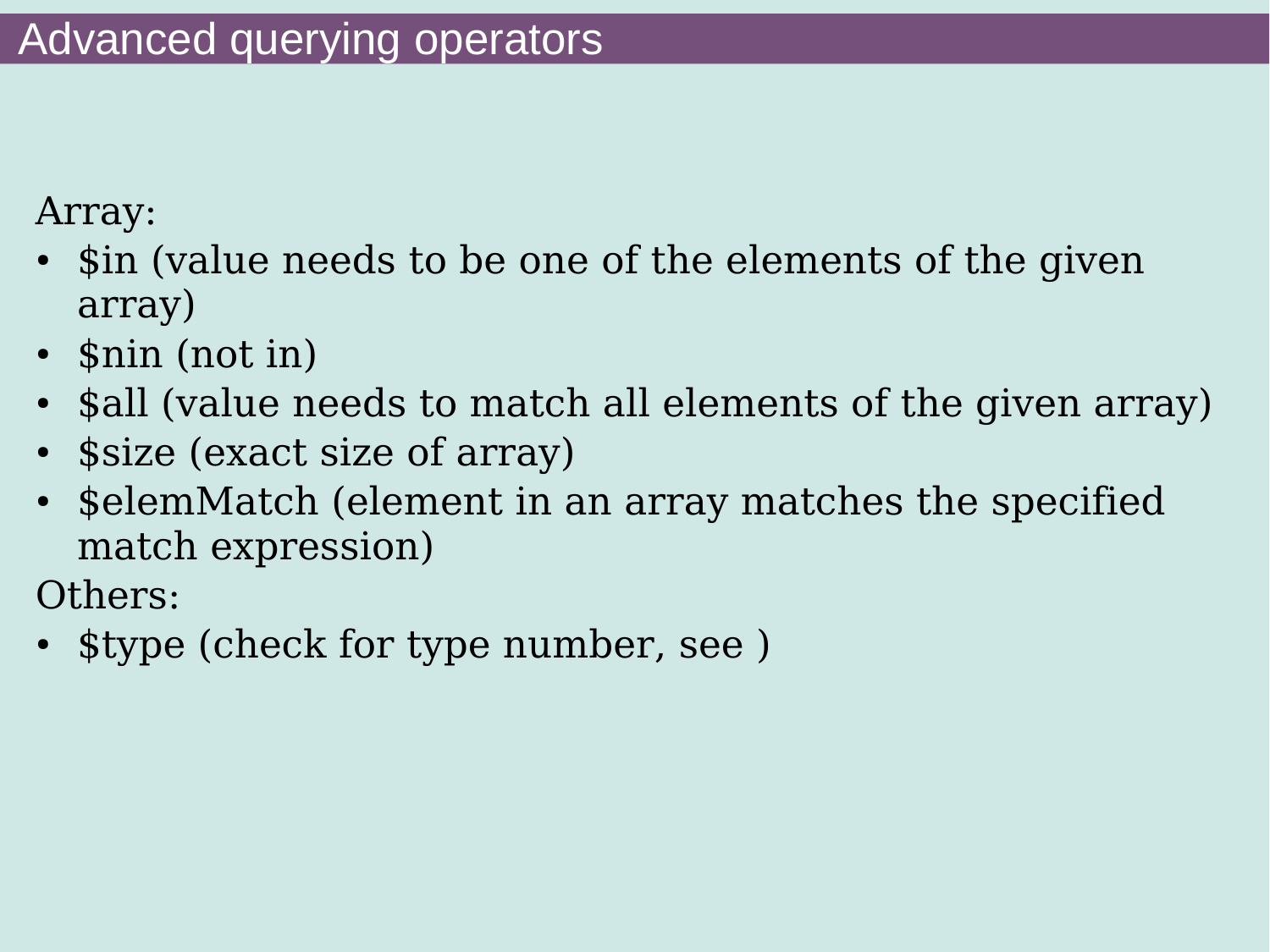Array:

- \$in (value needs to be one of the elements of the given array)
- $\bullet$  \$nin (not in)
- \$all (value needs to match all elements of the given array)
- \$size (exact size of array)
- \$elemMatch (element in an array matches the specified match expression)

Others:

• \$type (check for type number, see )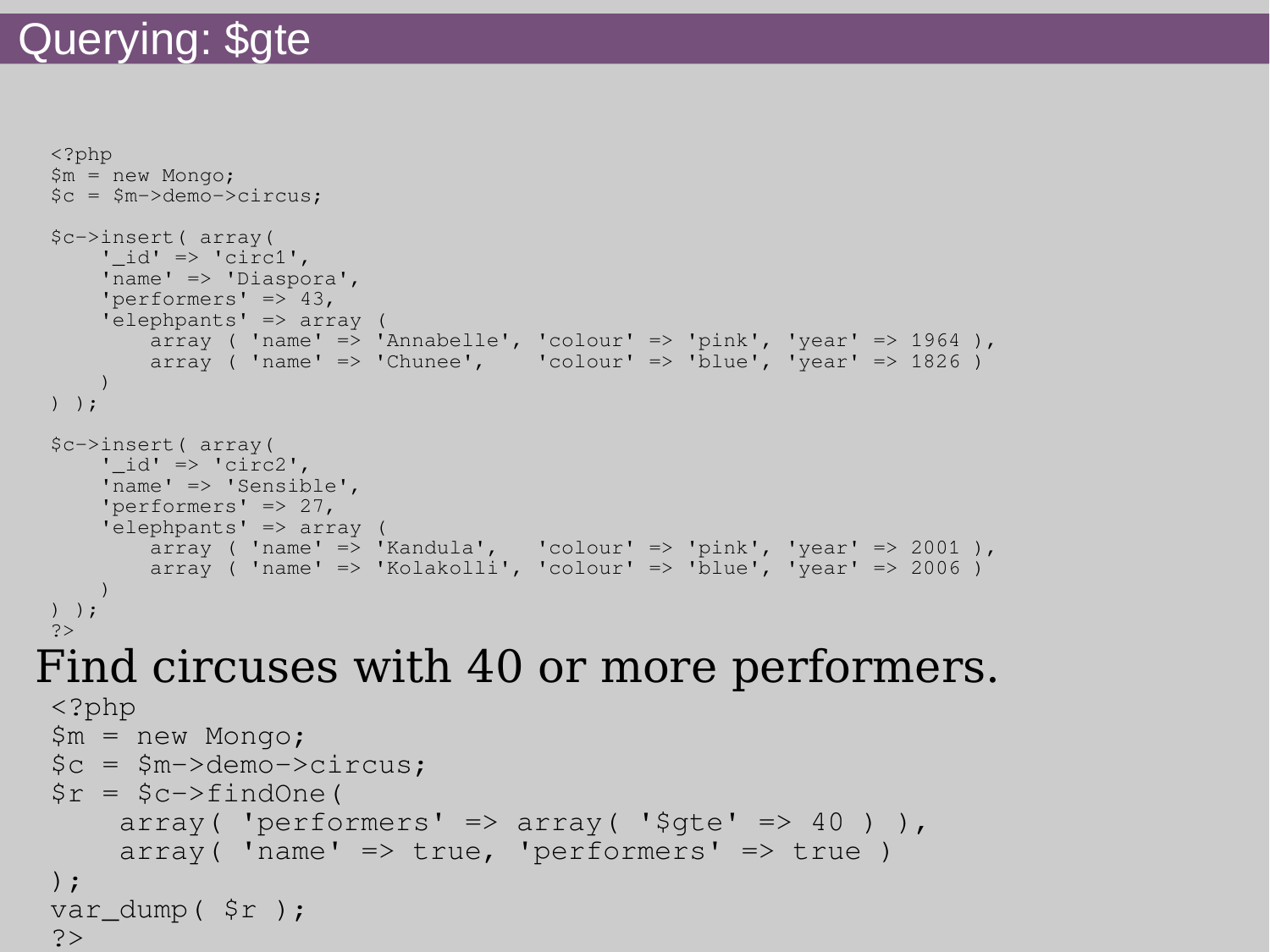## Querying: \$gte

```
<?php
 $m = new Mongo;
 $c = $m->demo->circus;
 $c->insert( array(
     ' id' => 'circ1',
      'name' => 'Diaspora',
      'performers' => 43,
      'elephpants' => array (
        array ( 'name' => 'Annabelle', 'colour' => 'pink', 'year' => 1964),
        array ( 'name' => 'Chunee', 'colour' => 'blue', 'year' => 1826)
 \overline{\phantom{a}}) );
 $c->insert( array(
     '_id' => 'circ2',
      'name' => 'Sensible',
      'performers' => 27,
      'elephpants' => array (
        array ( 'name' => 'Kandula', 'colour' => 'pink', 'year' => 2001),
        array ( 'name' => 'Kolakolli', 'colour' => 'blue', 'year' => 2006 )
 \overline{\phantom{a}}) );
 ?>
Find circuses with 40 or more performers.
 <?php
 $m = new Mongo;
 $c = $m->demo->circus;
 \text{sr} = \text{Sc-}indOne(
      array( 'performers' => array( '\zetagte' => 40)),
      array( 'name' \Rightarrow true, 'performers' \Rightarrow true)
 );
 var_dump( $r );
 ?
```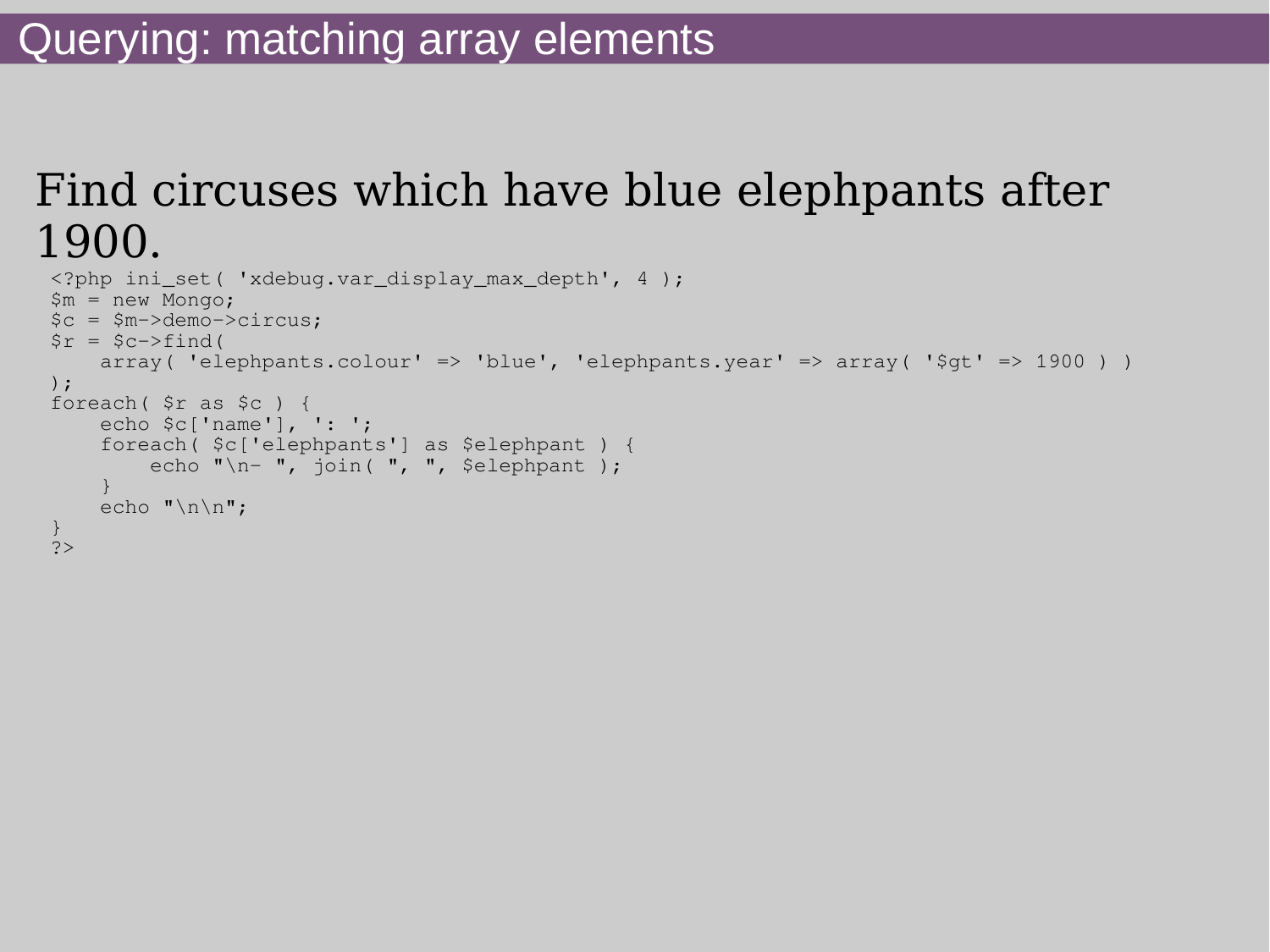## Find circuses which have blue elephpants after 1900.

```
<?php ini_set( 'xdebug.var_display_max_depth', 4 );
$m = new Mongo;
$c = $m->demo->circus;
\text{sr} = \text{Sc-}ind(
    array( 'elephpants.colour' => 'blue', 'elephpants.year' => array( '$qt' => 1900 ) )
);
foreach( $r as $c ) {
     echo $c['name'], ': ';
     foreach( $c['elephpants'] as $elephpant ) {
        echo "\n\pi- ", join( ", ", $elephpant );
 }
    echo "\n\n\ln\pi;
}
?>
```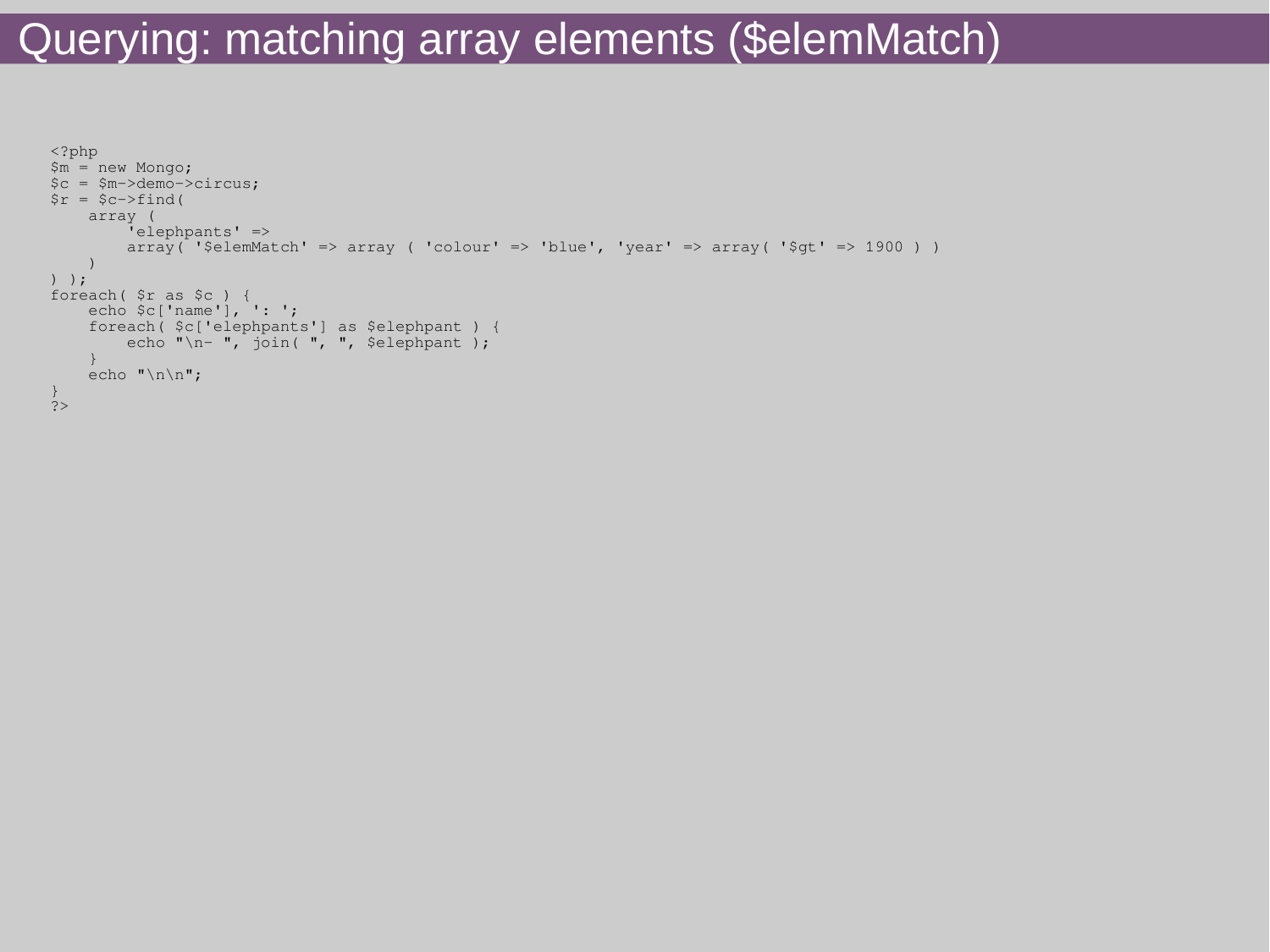## Querying: matching array elements (\$elemMatch)

```
<?php
$m = new Mongo;
$c = $m->demo->circus;
\zeta r = \zeta c - \zeta ind (
     array (
          'elephpants' =>
         array( '$elemMatch' => array ( 'colour' => 'blue', 'year' => array( '$qt' => 1900 ) )
     )
) );
foreach( $r as $c ) {
     echo $c['name'], ': ';
     foreach( $c['elephpants'] as $elephpant ) {
        echo "\n- ", join( ", ", $elephpant );
     }
    echo "\n\n\cdot";
}
\frac{1}{2}
```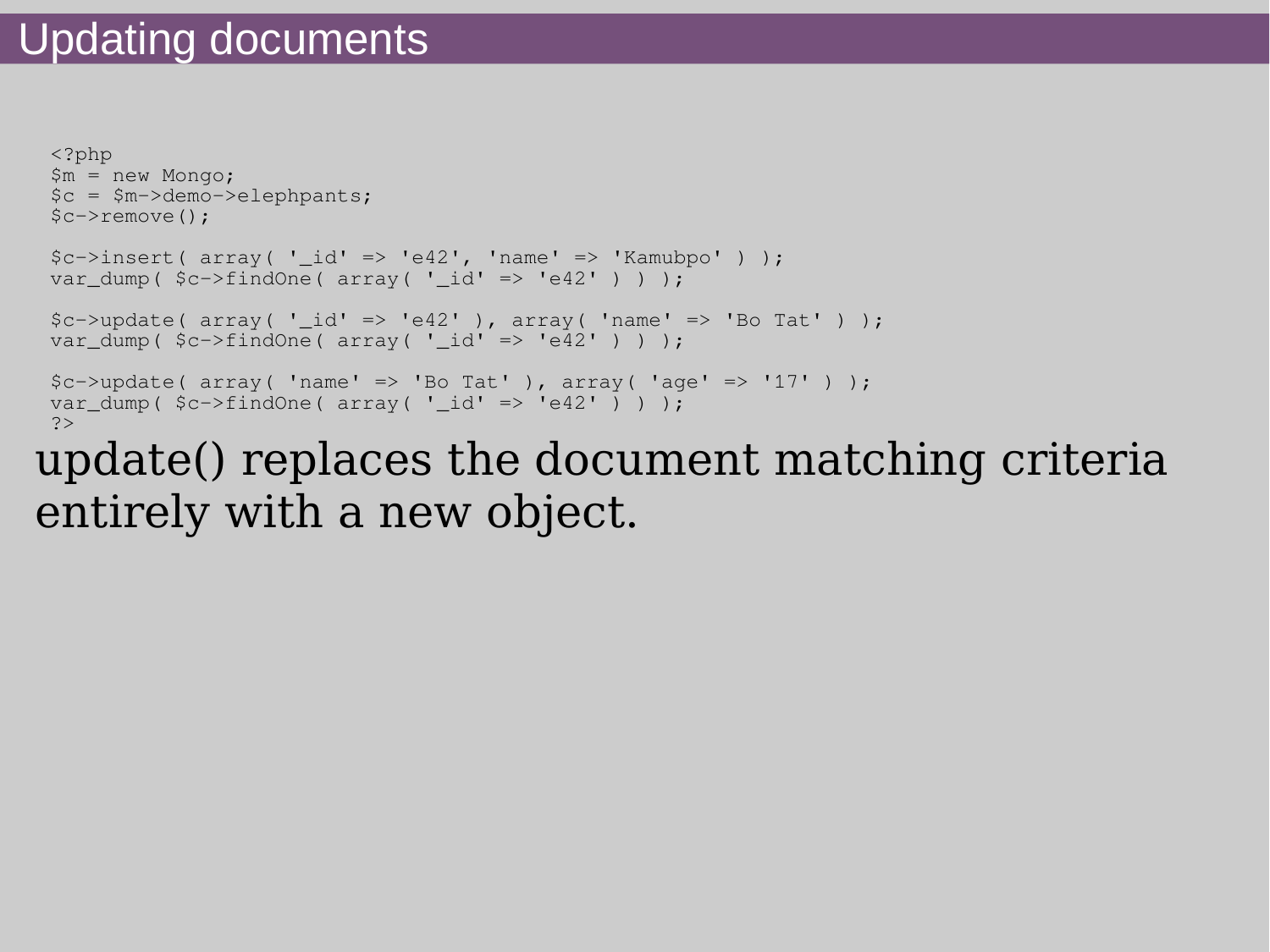```
<?php
 $m = new Mongo;
 $c = $m->demo->elephpants;
 $c->remove();
 \frac{\cosh x}{\cosh x} ( \arctan x \left( \frac{\cosh x}{\cosh x} \right) \arctan x \left( \frac{\cosh x}{\cosh x} \right) \arctan x \left( \frac{\cosh x}{\cosh x} \right) \arctan x \arctan x \arctan x \arctan x \arctan x \arctan x \arctan x \arctan x \arctan x \arctan x \arctan x \arctan x \arctan x \arctan x \arctanvar dump( $c->findOne( array('id' => 'e42') ) ) );
 \text{Sc}-\text{y} array( 'id' => 'e42' ), array( 'name' => 'Bo Tat' ) );
 var dump( sc->findOne(array('id' => 'e42') ) ) );
 $c->update(array('name' => 'Bo Tat'), array('age' => '17') );
 var dump( sc->findOne(array(' id' => 'e42') ) ) );
 7update() replaces the document matching criteria
```
entirely with a new object.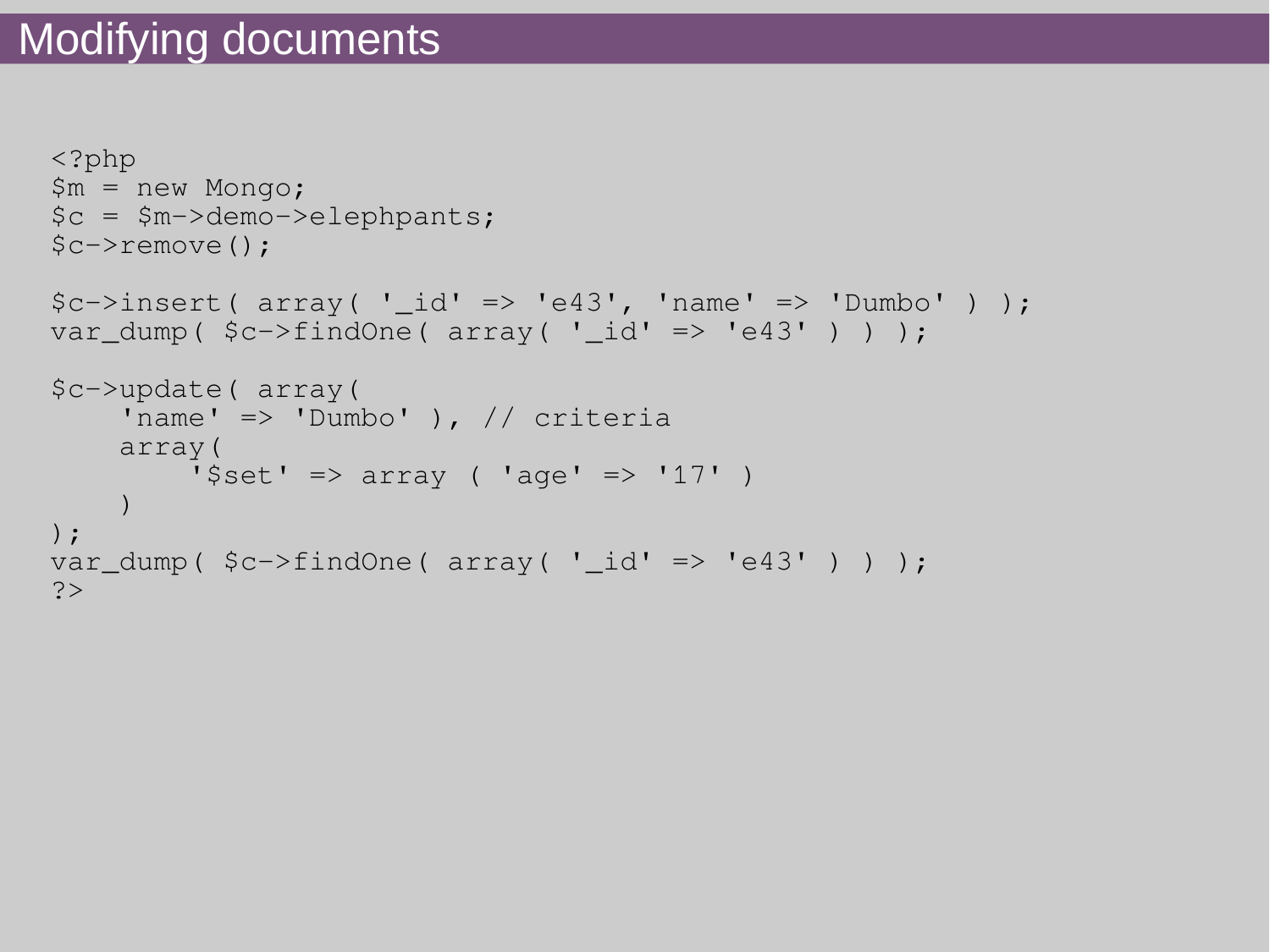```
<?php
$m = new Mongo;
$c = $m->demo->elephpants;
$c->remove();
\frac{\text{Sc}-\text{Sinsert}}{\text{Sors}} array( '_id' => 'e43', 'name' => 'Dumbo' ) );
var dump( sc->findOne( array(' id' => 'e43') ) ) );
$c->update( array(
     'name' => 'Dumbo' ), // criteria
      array(
         '\text{Set'} \Rightarrow \text{array} ( 'age' => '17' )
      )
);
var_dump( $c->findOne( array( '_id' => 'e43' ) ) );
?>
```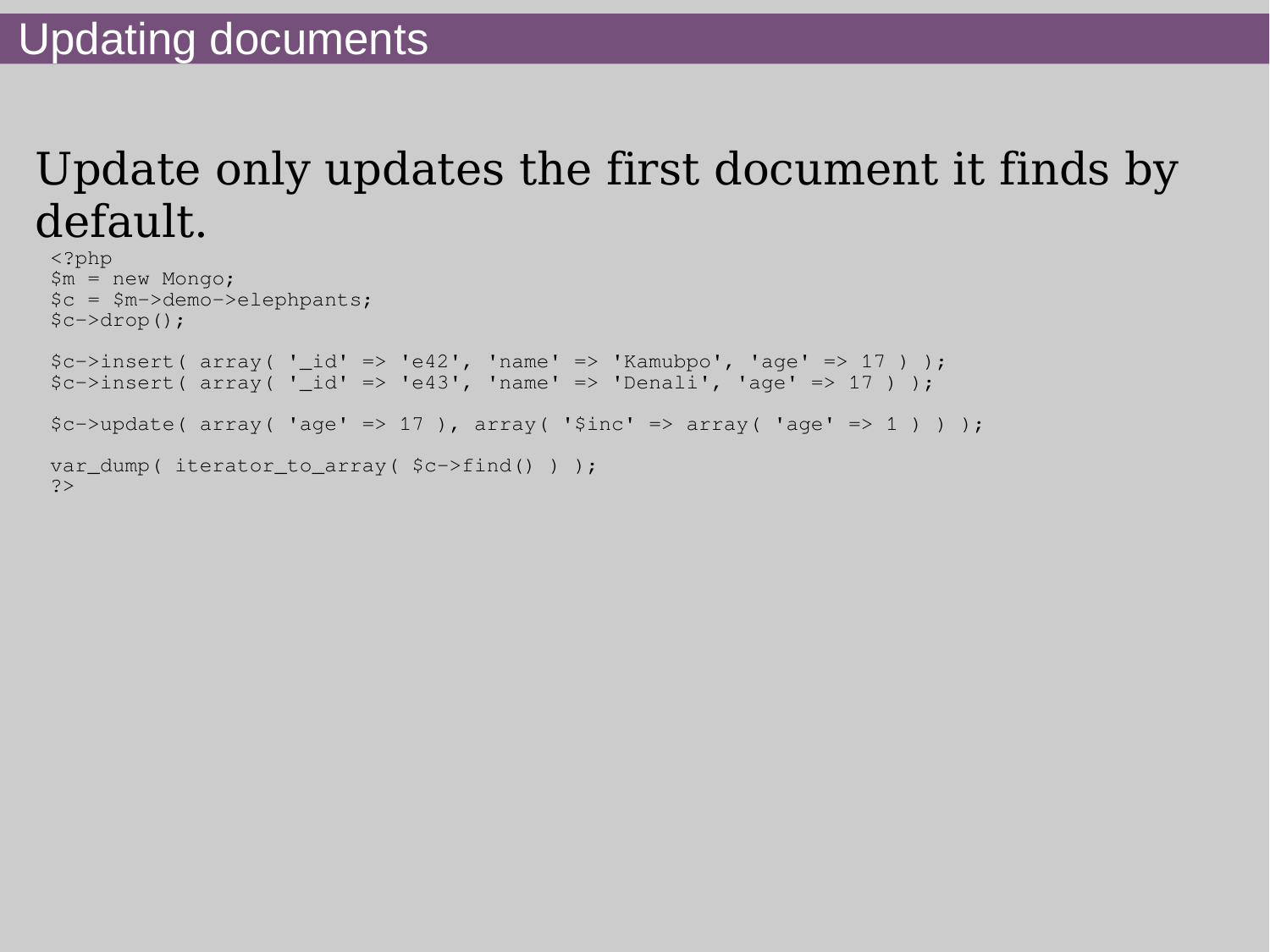## Update only updates the first document it finds by default.

```
<?php
$m = new Mongo;
$c = $m->demo->elephpants;
$c->drop();
\frac{1}{2}c-\frac{1}{\sqrt{2}} ( array('id' => 'e42', 'name' => 'Kamubpo', 'age' => 17 ) );
$c->insert(array('id' => 'e43', 'name' => 'Denali', 'age' => 17 ) );
\frac{1}{2}c-\frac{1}{2} > \frac{1}{2} + \frac{1}{2} + \frac{1}{2} + \frac{1}{2} + \frac{1}{2} + \frac{1}{2} + \frac{1}{2} + \frac{1}{2} + \frac{1}{2} + \frac{1}{2} + \frac{1}{2} + \frac{1}{2} + \frac{1}{2} + \frac{1}{2} + \frac{1}{2} + \frac{1}{2} + \frac{1}{2}var_dump( iterator_to_array( $c->find() ) );
?>
```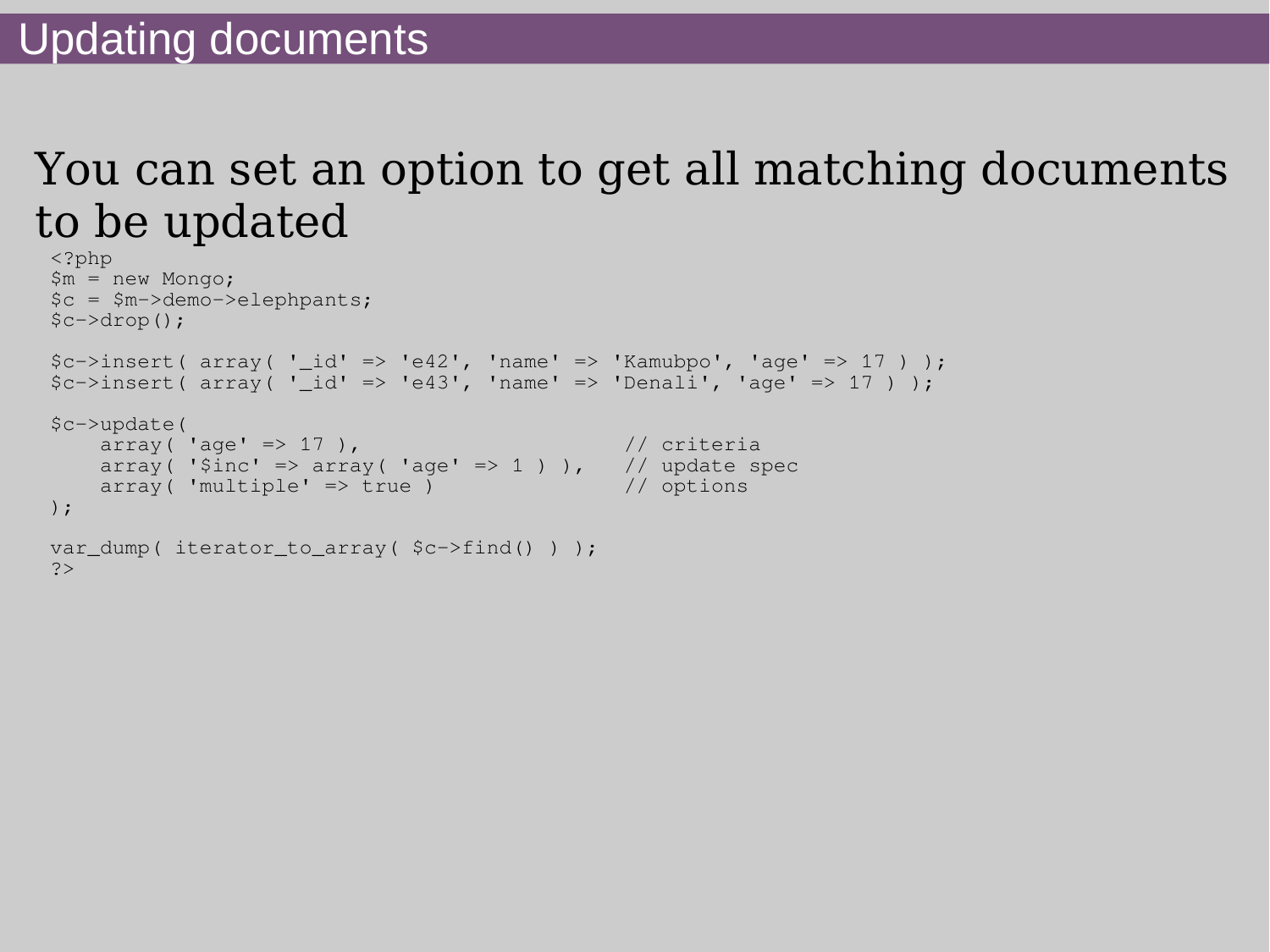## You can set an option to get all matching documents to be updated

```
<?php
$m = new Mongo;
$c = $m->demo->elephpants;
$c->drop();
\frac{1}{2}c-\frac{1}{\sqrt{2}} ( array('id' => 'e42', 'name' => 'Kamubpo', 'age' => 17 ) );
$c->insert(array('id' => 'e43', 'name' => 'Denali', 'age' => 17 ) );
$c->update(
 array( 'age' => 17 ), // criteria
array( '$inc' => array( 'age' => 1 ) ), \frac{1}{2} // update spec
 array( 'multiple' => true ) // options
);
var_dump( iterator_to_array( $c->find() ) );
?>
```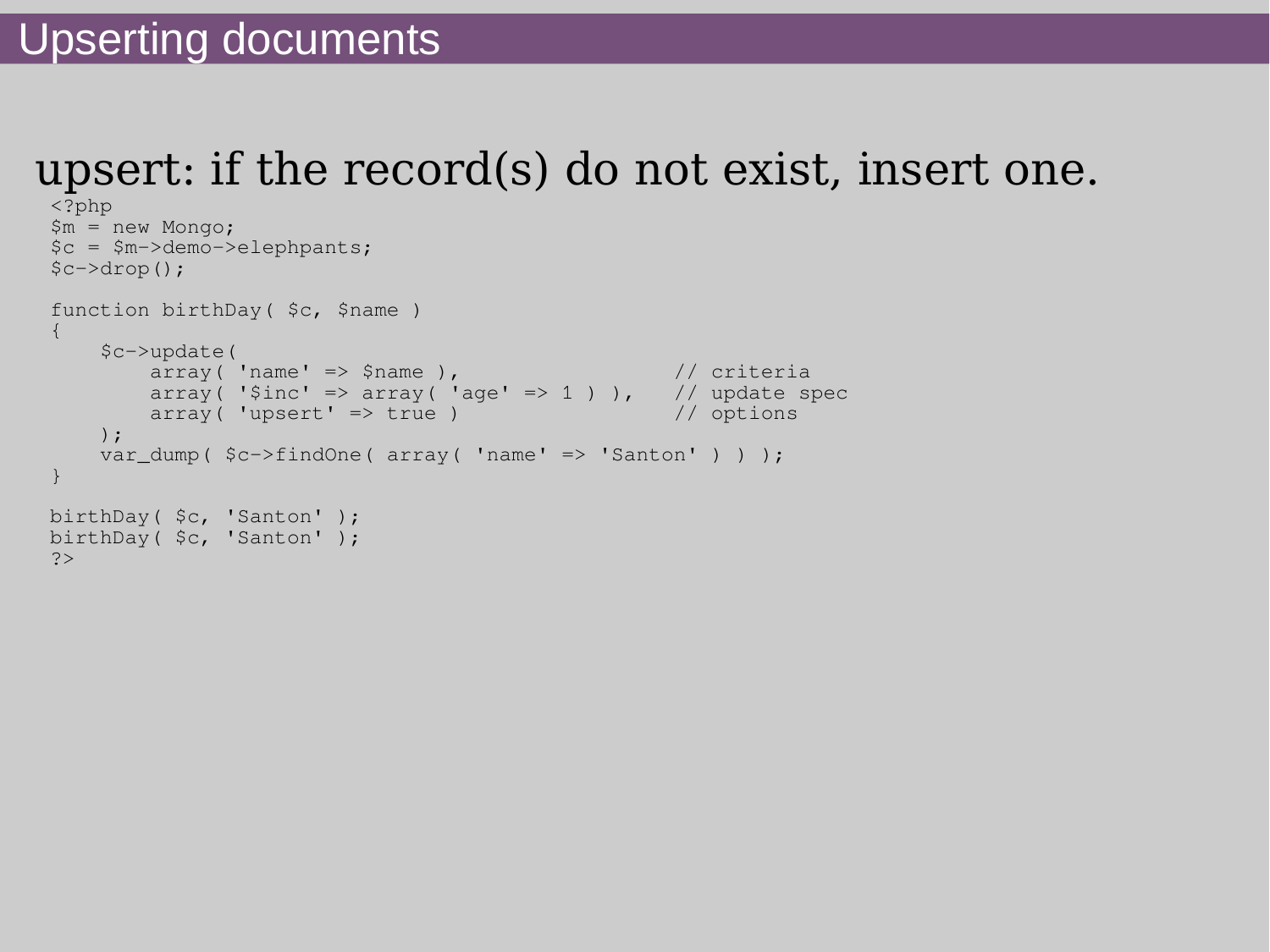## upsert: if the record(s) do not exist, insert one.

```
<?php
$m = new Mongo;
$c = $m->demo->elephpants;
$c->drop();
function birthDay( $c, $name )
{
    $c->update(
 array( 'name' => $name ), // criteria
array( '$inc' => array( 'age' => 1 ) ), \frac{1}{2} // update spec
       array('upsett' \Rightarrow true') // options
    );
   var_dump( $c->findOne( array( 'name' => 'Santon' ) ) );
}
birthDay( $c, 'Santon' );
birthDay( $c, 'Santon' );
?>
```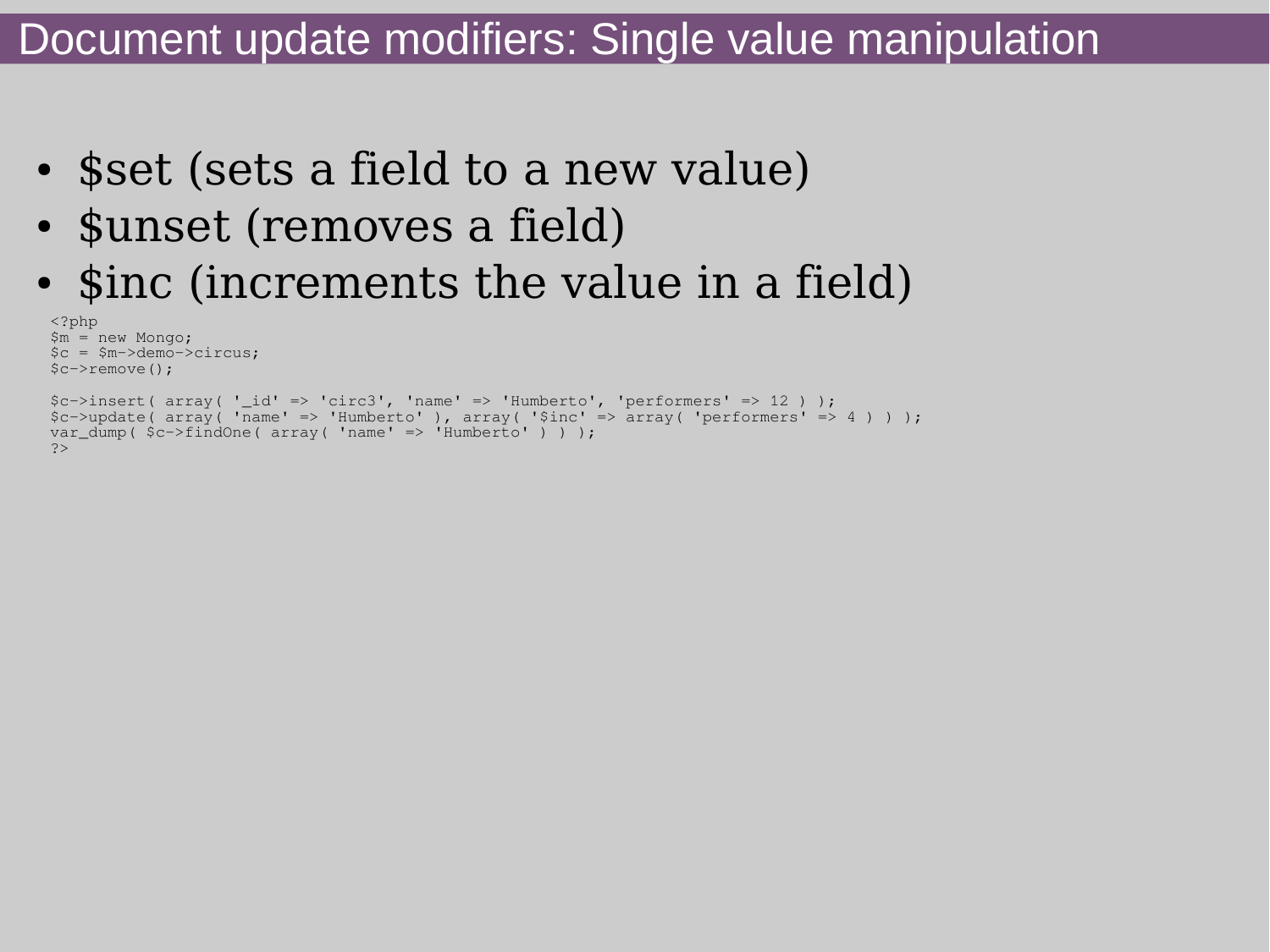#### Document update modifiers: Single value manipulation

- \$set (sets a field to a new value)
- \$unset (removes a field)
- \$inc (increments the value in a field)

```
<?php
$m = new Mongo;
\nc = $m->demo->circus;$c->remove();
\xic->insert( array( ' id' => 'circ3', 'name' => 'Humberto', 'performers' => 12 ) );
$c->update( array( 'name' => 'Humberto' ), array( '$inc' => array( 'performers' => 4 ) ) );
var dump( $c->findOne( array('name' => 'Humberto' ) ) );
?>
```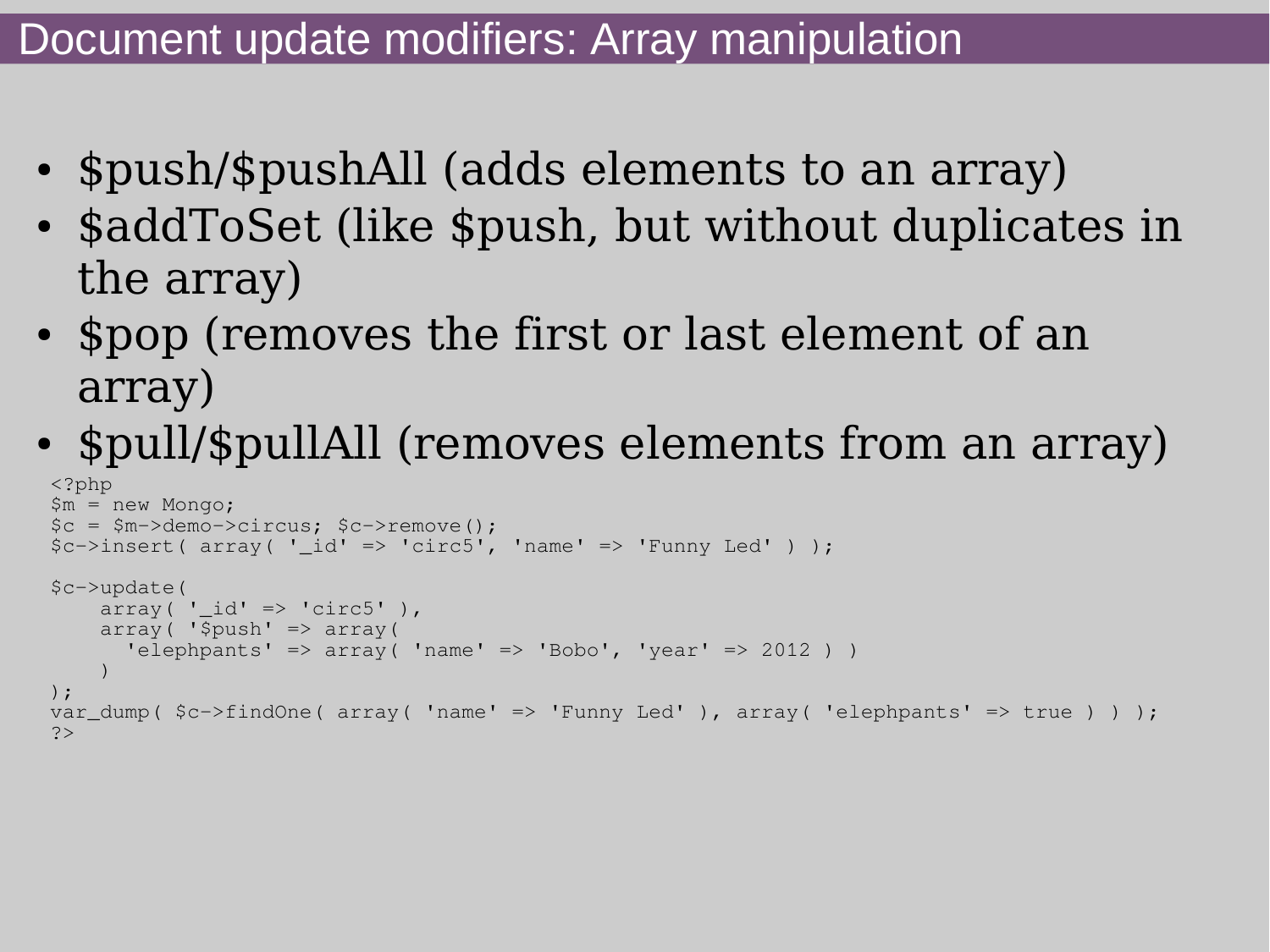- \$push/\$pushAll (adds elements to an array)
- \$addToSet (like \$push, but without duplicates in the array)
- \$pop (removes the first or last element of an array)
- \$pull/\$pullAll (removes elements from an array) <?php

```
$m = new Mongo;
$c = $m->demo->circus; $c->remove();
$c->insert(array('id' => 'circ5', 'name' => 'Funny Led') );
$c->update(
    array( ' id' => 'circ5' ),
    array('5push' \Rightarrow array() 'elephpants' => array( 'name' => 'Bobo', 'year' => 2012 ) )
\overline{\phantom{a}});
var_dump( c ->findOne( array( 'name' => 'Funny Led'), array( 'elephpants' => true ) ) );
?>
```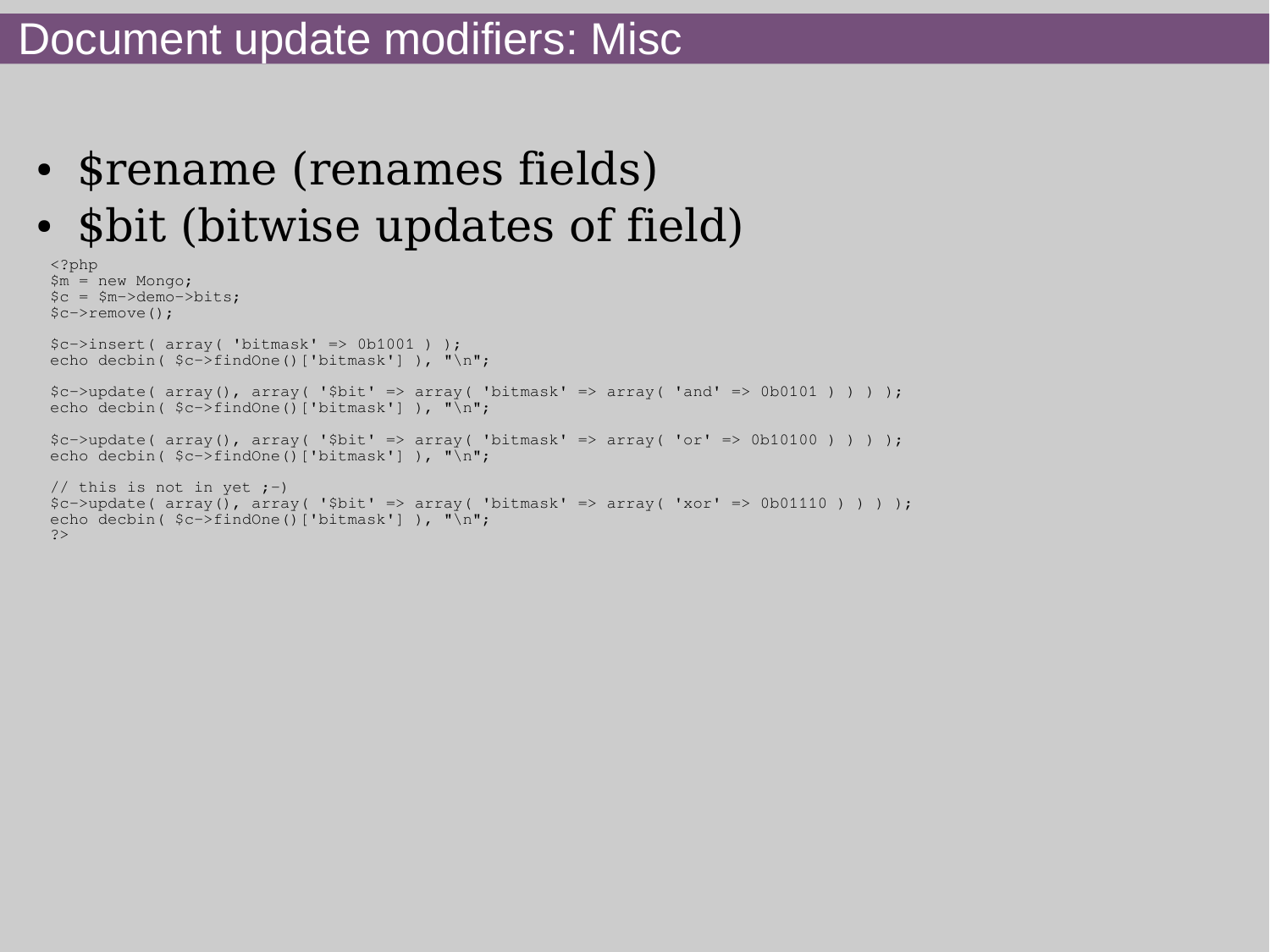#### Document update modifiers: Misc

- \$rename (renames fields)
- \$bit (bitwise updates of field)

```
<?php
$m = new Mongo;
sc = Sm->demo->bits;
$c->remove();
$c->insert( array( 'bitmask' => 0b1001 ) );
echo decbin( \frac{5c}{5c}findOne()['bitmask'] ), "\n";
$c->update(array(), array('5bit' => array('bitmask' => array('and' => 0b0101)) ) ;
echo decbin( \frac{c}{2}c ->findOne()['bitmask'] ), "\n";
$c->update( array(), array( '$bit' => array( 'bitmask' => array( 'or' => 0b10100 ) ) ) );
echo decbin( $c->findOne()['bitmask'] ), "\n";
// this is not in yet ;-)
$c->update(array(), array('$bit' => array('bitmask' => array('xor' => 0b01110')) ;
echo decbin( $c->findOne()['bitmask'] ), "\n";
?>
```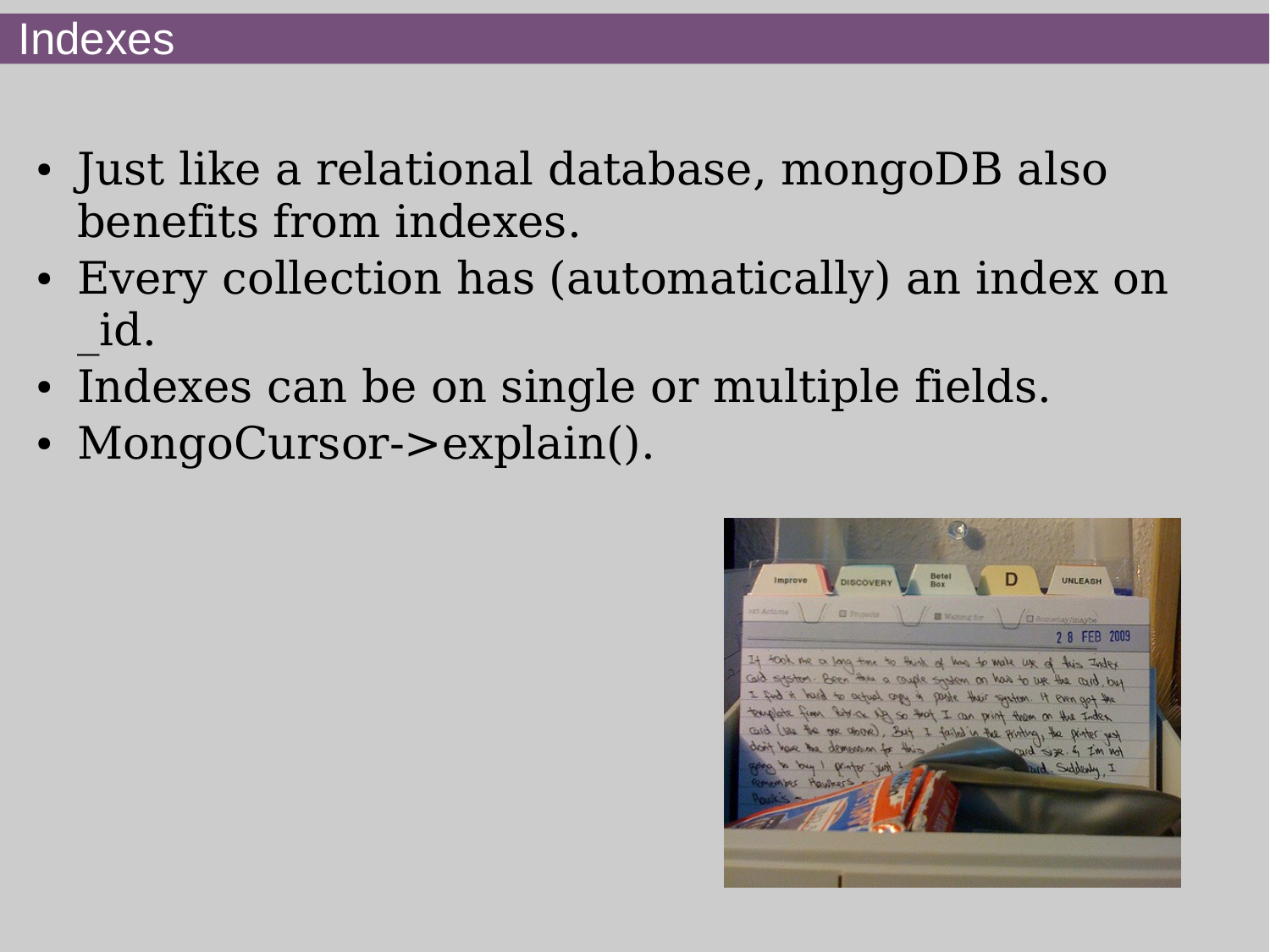#### Indexes

- Just like a relational database, mongoDB also benefits from indexes.
- Every collection has (automatically) an index on \_id.
- Indexes can be on single or multiple fields.
- MongoCursor->explain().

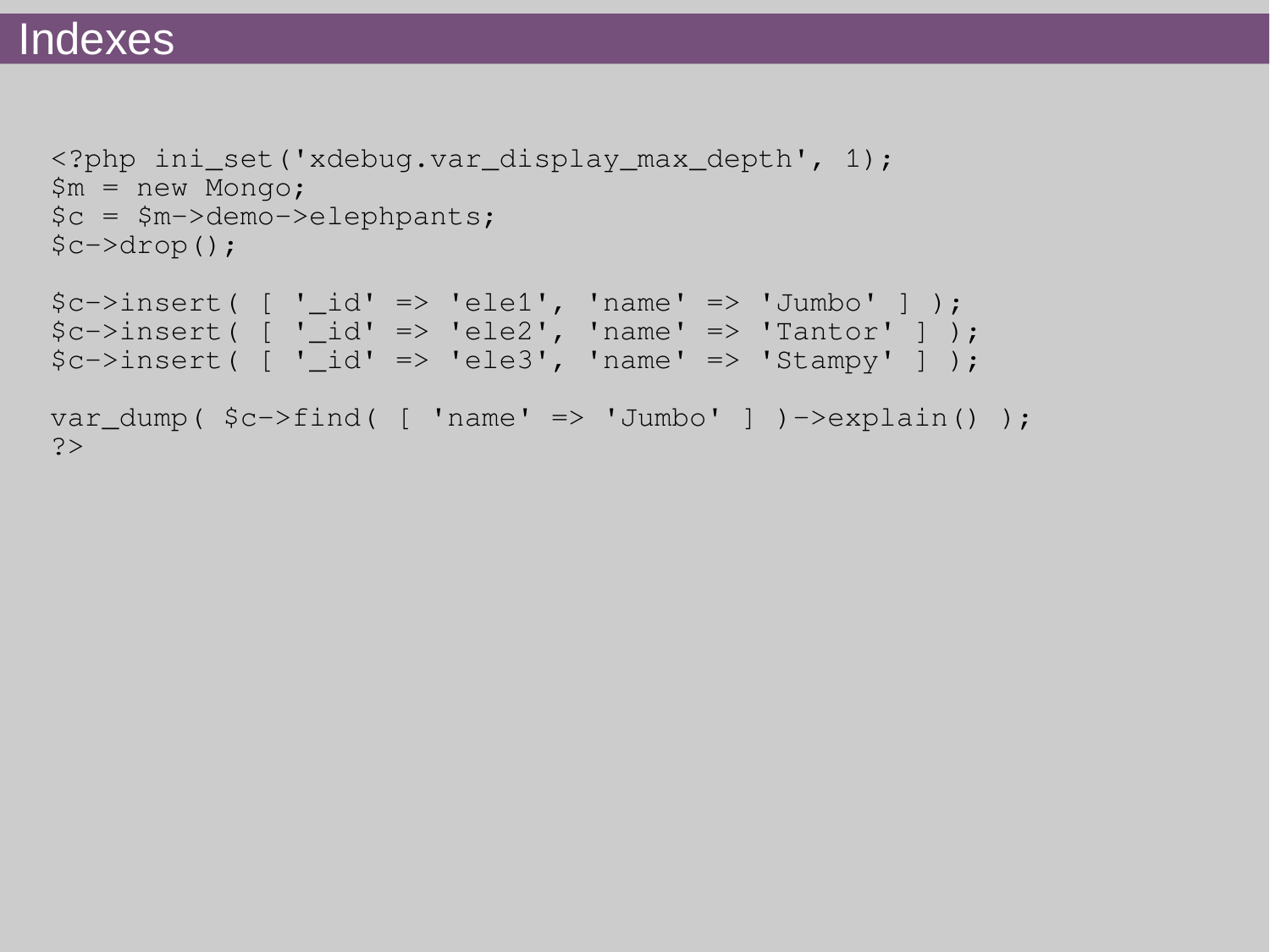```
<?php ini_set('xdebug.var_display_max_depth', 1);
$m = new Mongo;
$c = $m->demo->elephpants;
$c->drop();
```

```
%c->insert [ '_id' => 'ele1', 'name' => 'Jumbo' ] );
%c->insert [ '_id' => 'ele2', 'name' => 'Tantor' ] );
$c->insert [ ' _id' -> 'ele3', 'name' -> 'Stampy' ] );
var_dump($c->find( [ 'name' => 'Jumbo' ] )-\geqexplain() );
?>
```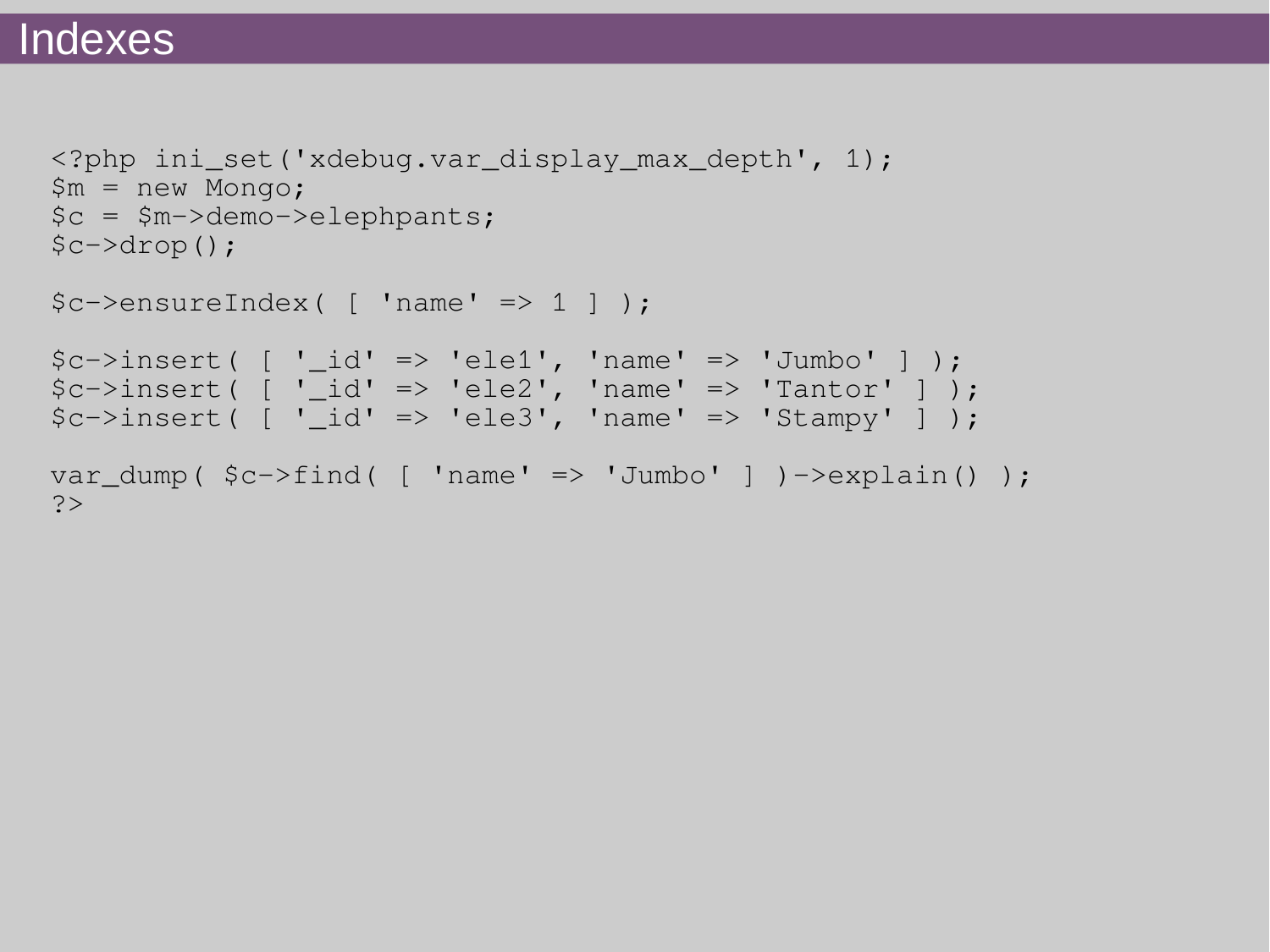#### **Indexes**

```
<?php ini_set('xdebug.var_display_max_depth', 1);
$m = new Mongo;
$c = $m->demo->elephpants;
$c->drop();
$c->ensureIndex( [ 'name' => 1 ] );
```

```
$c->insert [ ' id' =&>' 'ele1', 'name' =&>' 'Jumbo' ];
$c->insert( ['\_id' => 'ele2', 'name' => 'Tantor' ] );
$c->insert [ '] id' \Rightarrow 'ele3', 'name' \Rightarrow 'Stampy' ] );var_dump($c->find( [ 'name' => 'Jumbo' ] )-\geqexplain() );
?>
```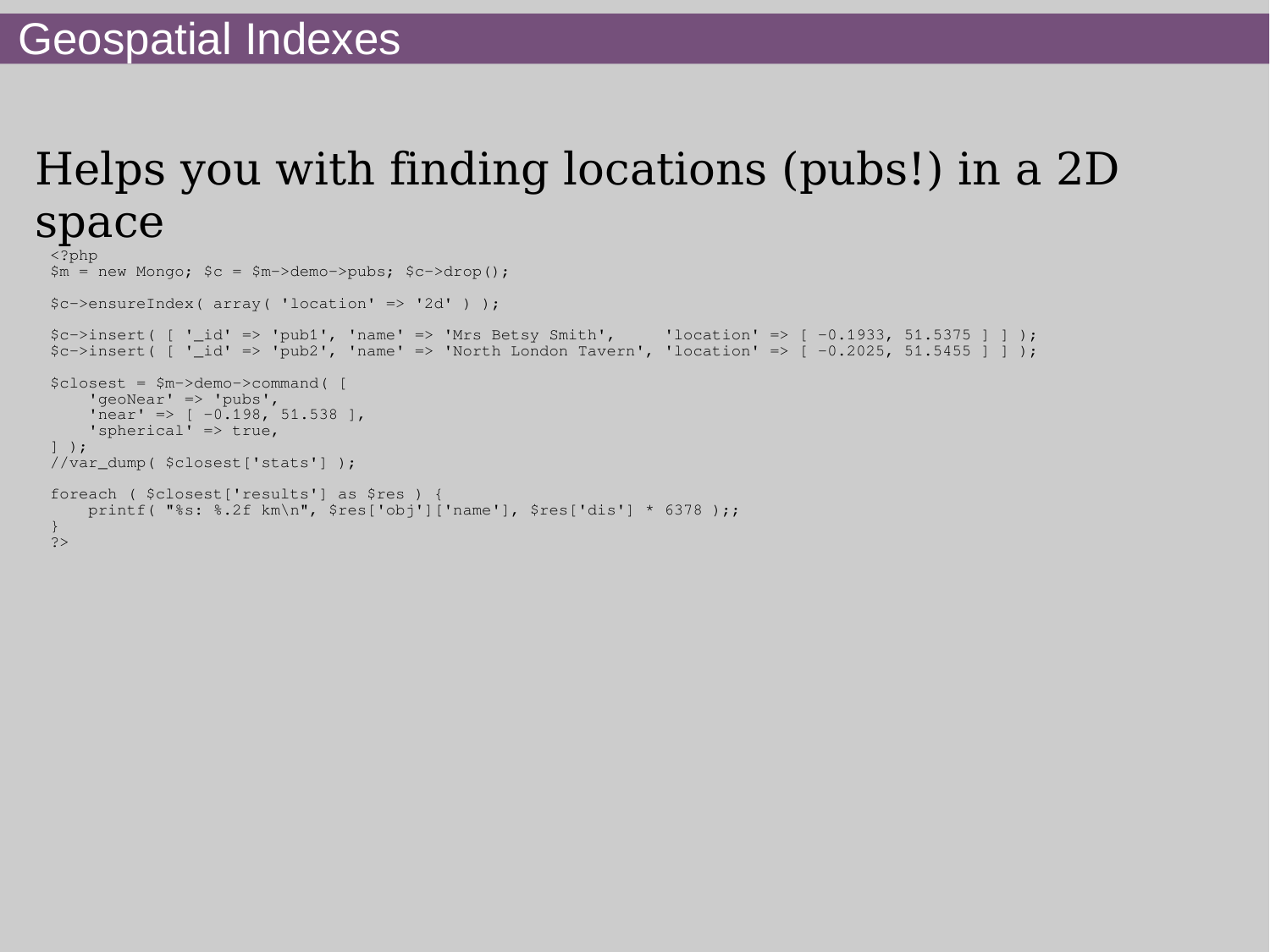## Helps you with finding locations (pubs!) in a 2D space

```
<?php
$m = new Monqo; $c = $m->demo->pubs; $c->drop();$c->ensureIndex( array( 'location' => '2d' ) );
$c->insert( [ '_id' => 'pub1', 'name' => 'Mrs Betsy Smith',                'location' => [ -0.1933, 51.5375 ] ] );
$c->insert [ '_id' => 'pub2', 'name' => 'North London Tavern', 'location' => [ -0.2025, 51.5455 ] ] );
$closest = $m->demo->command( [
    'geoNear' => 'pubs',
    'near' => [ -0.198, 51.538 ],
     'spherical' => true,
] );
//var_dump( $closest['stats'] );
foreach ( $closest['results'] as $res ) {
     printf( "%s: %.2f km\n", $res['obj']['name'], $res['dis'] * 6378 );;
}
?>
```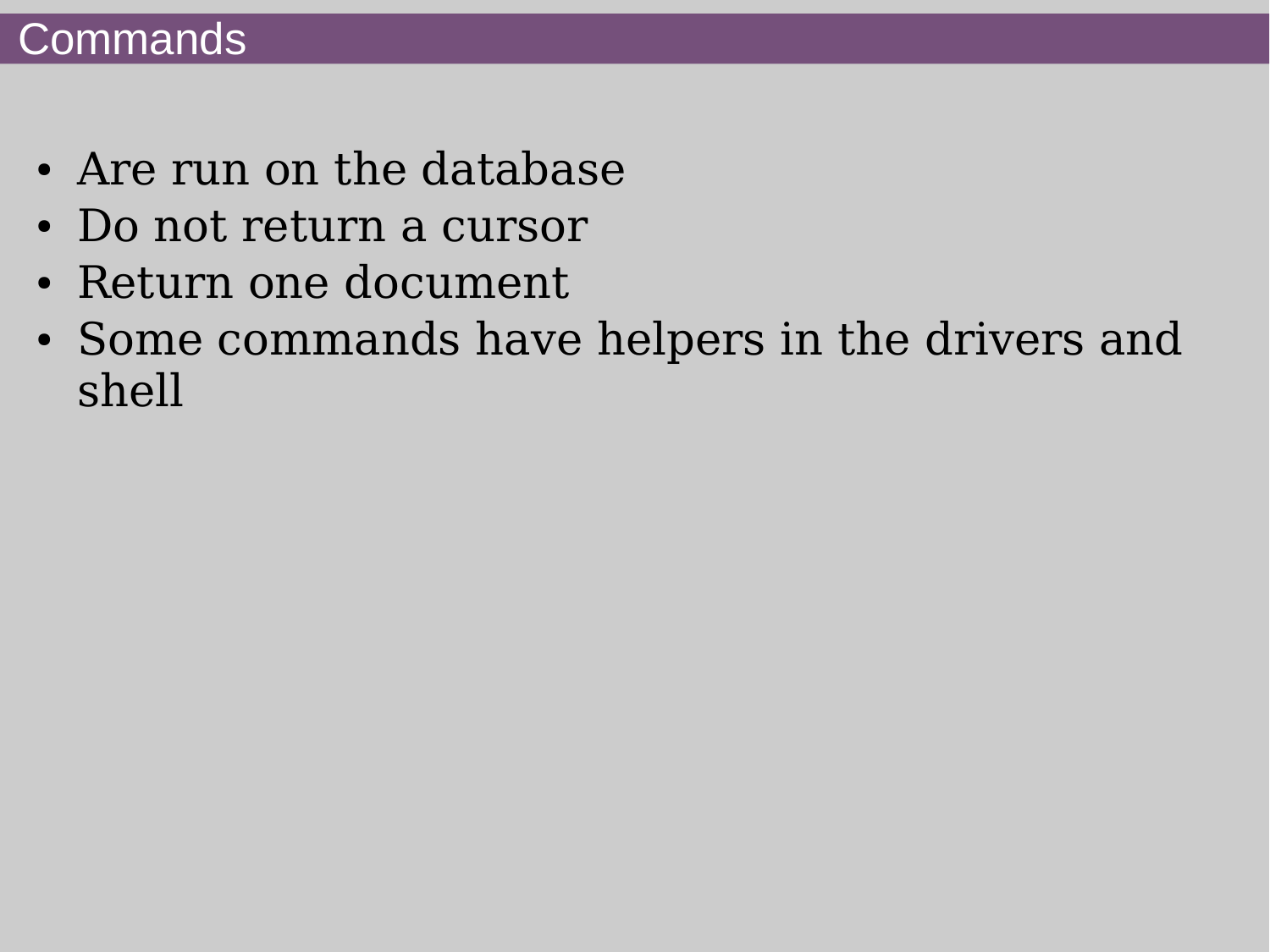## **Commands**

- Are run on the database
- Do not return a cursor
- Return one document
- Some commands have helpers in the drivers and shell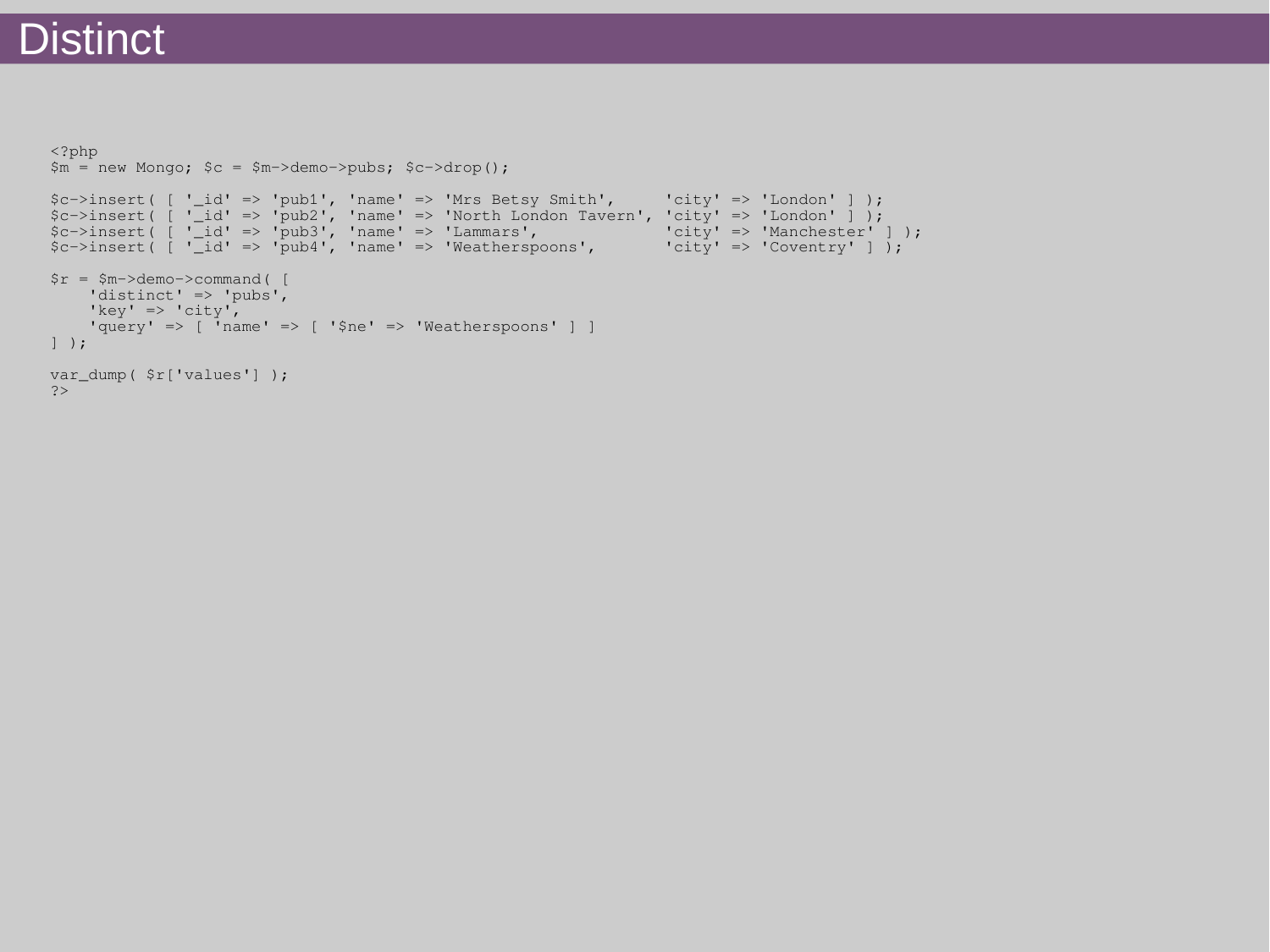## **Distinct**

```
<?php
$m = new Monqo; $c = $m->demo->pubs; $c->drop();$c->insert( [ '_id' => 'pub1', 'name' => 'Mrs Betsy Smith', 'city' => 'London' ] );
c-\frac{1}{s} \left[\begin{array}{cc} 1 & -i d' & =& 2 \end{array}\right] 'name' => 'North London Tavern', 'city' => 'London' ] );
$c->insert( [ '_id' => 'pub3', 'name' => 'Lammars', 'city' => 'Manchester' ] );
$c->insert( [ '_id' => 'pub4', 'name' => 'Weatherspoons', 'city' => 'Coventry' ] );
\frac{5r}{r} = \frac{5m}{2}demo->command( [
   'distinct' => 'pubs',
    'key' => 'city',
     'query' => [ 'name' => [ '$ne' => 'Weatherspoons' ] ]
] );
var_dump( $r['values'] );
?>
```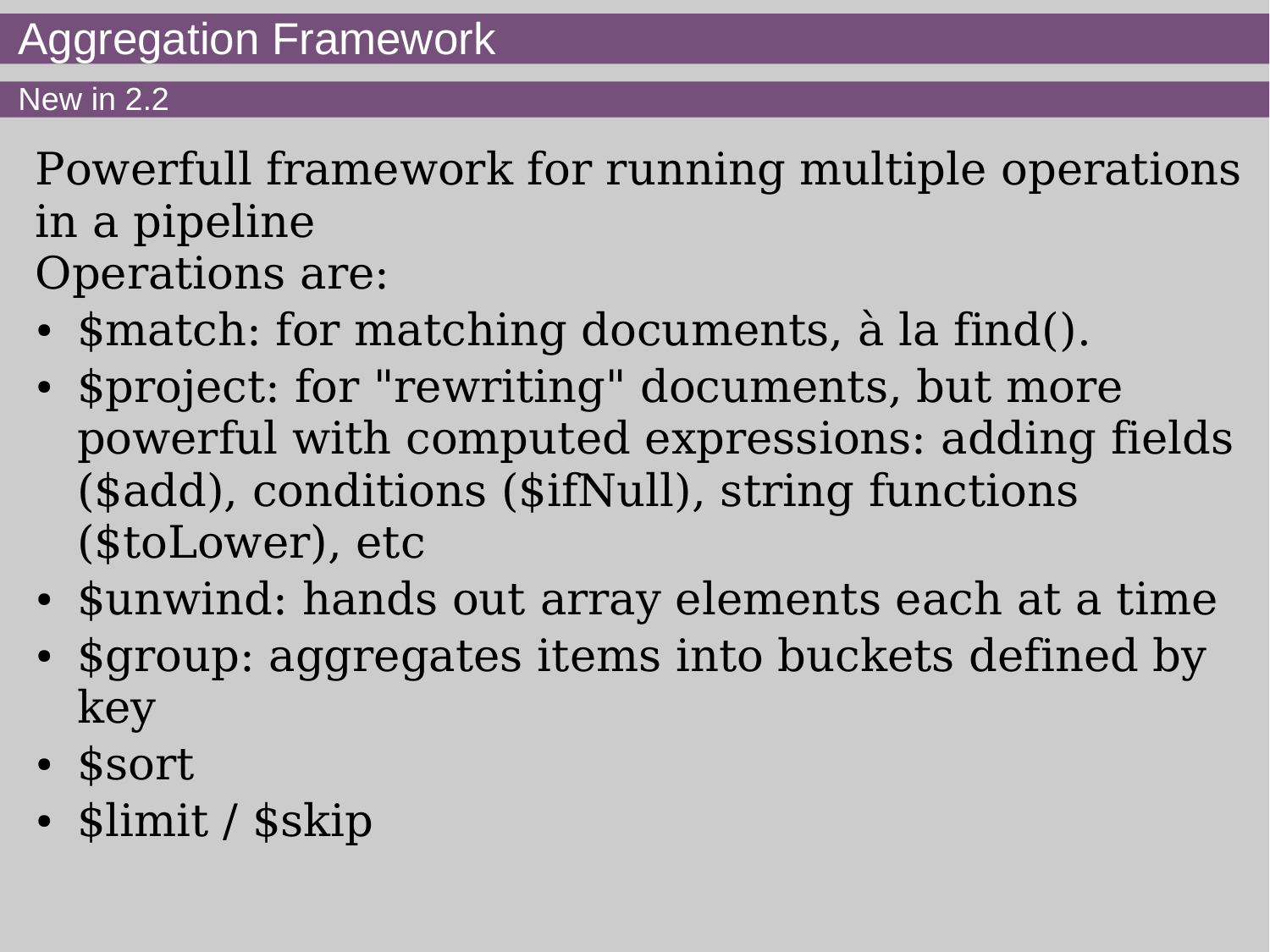#### New in 2.2

Powerfull framework for running multiple operations in a pipeline Operations are:

- \$match: for matching documents, à la find().
- \$project: for "rewriting" documents, but more powerful with computed expressions: adding fields (\$add), conditions (\$ifNull), string functions (\$toLower), etc
- \$unwind: hands out array elements each at a time
- \$group: aggregates items into buckets defined by key
- \$sort
- \$limit / \$skip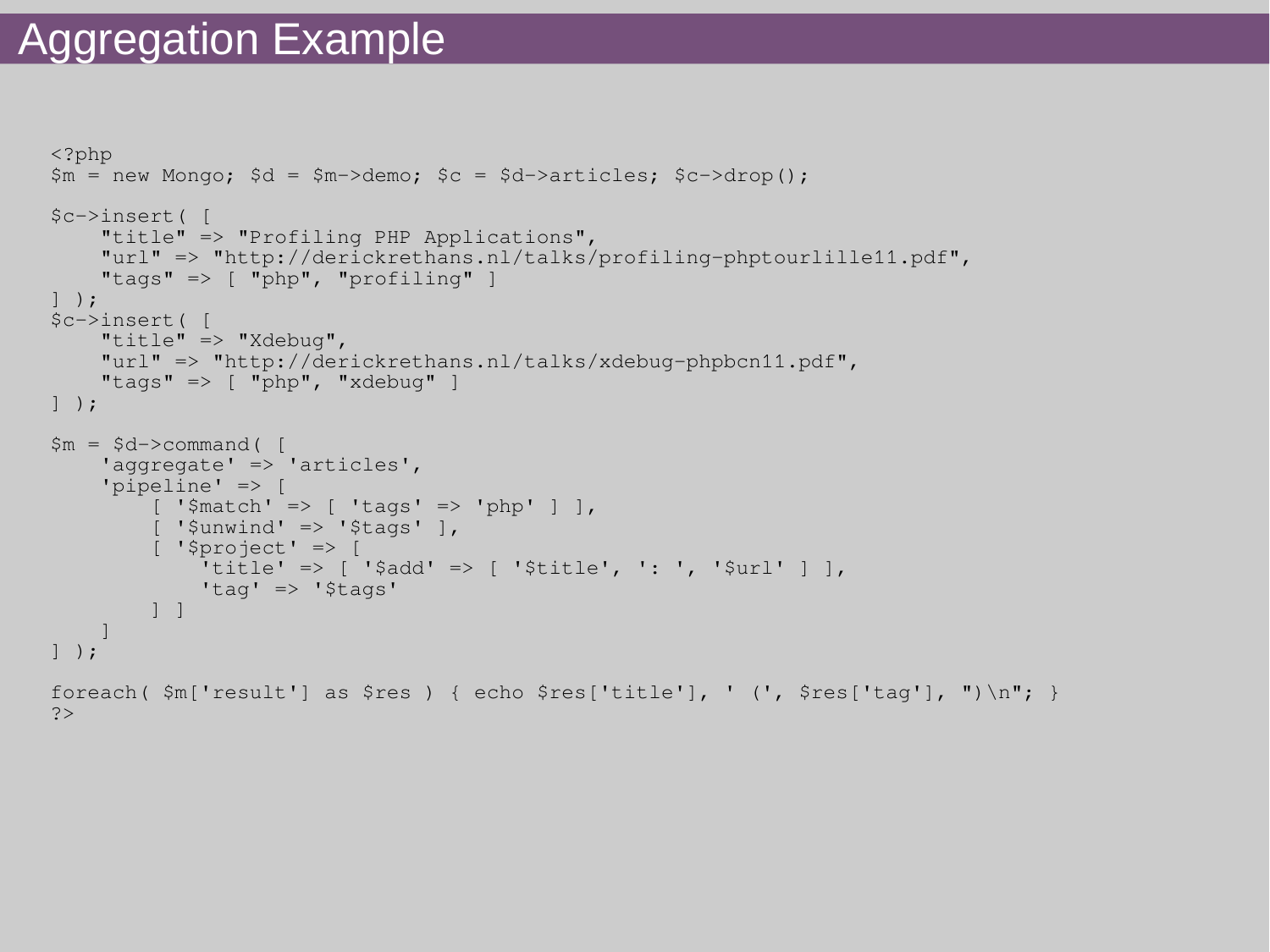#### Aggregation Example

```
<?php
$m = new Monqo; $d = $m->demo; $c = $d->articles; $c->drop();$c->insert( [
      "title" => "Profiling PHP Applications",
      "url" => "http://derickrethans.nl/talks/profiling-phptourlille11.pdf",
      "tags" => [ "php", "profiling" ]
] );
$c->insert( [
     "title" \Rightarrow "Xdebug",
      "url" => "http://derickrethans.nl/talks/xdebug-phpbcn11.pdf",
     "tags" \Rightarrow [ "php", "xdebug" ]
] );
$m = $d$->command (
      'aggregate' => 'articles',
      'pipeline' => [
          [ '$match' => [ 'tags' => 'php' ] ],
          [ '$unwind' => '$tags' ],
           [ '$project' => [
               'title' => [ '$add' => [ '$title', ': ', '$url' ] ],
                'tag' => '$tags'
           ] ]
\begin{array}{|c|c|c|c|c|}\hline \quad \quad & \quad & \quad \quad & \quad \quad & \quad \quad \\ \hline \end{array}] );
foreach( $m['result'] as $res ) { echo $res['title'], ' (', $res['tag'], ")\n"; }
?>
```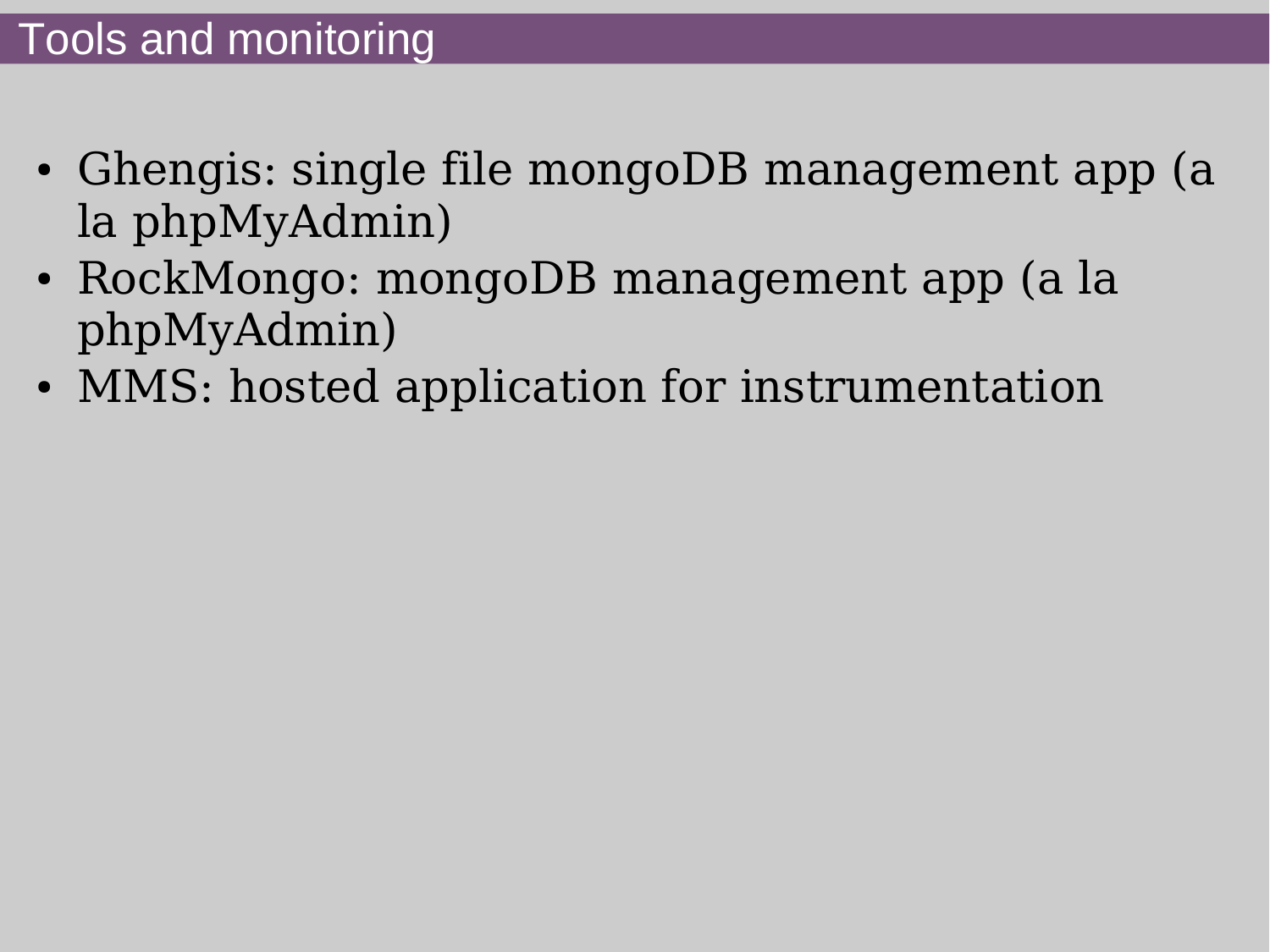- Ghengis: single file mongoDB management app (a la phpMyAdmin)
- RockMongo: mongoDB management app (a la phpMyAdmin)
- MMS: hosted application for instrumentation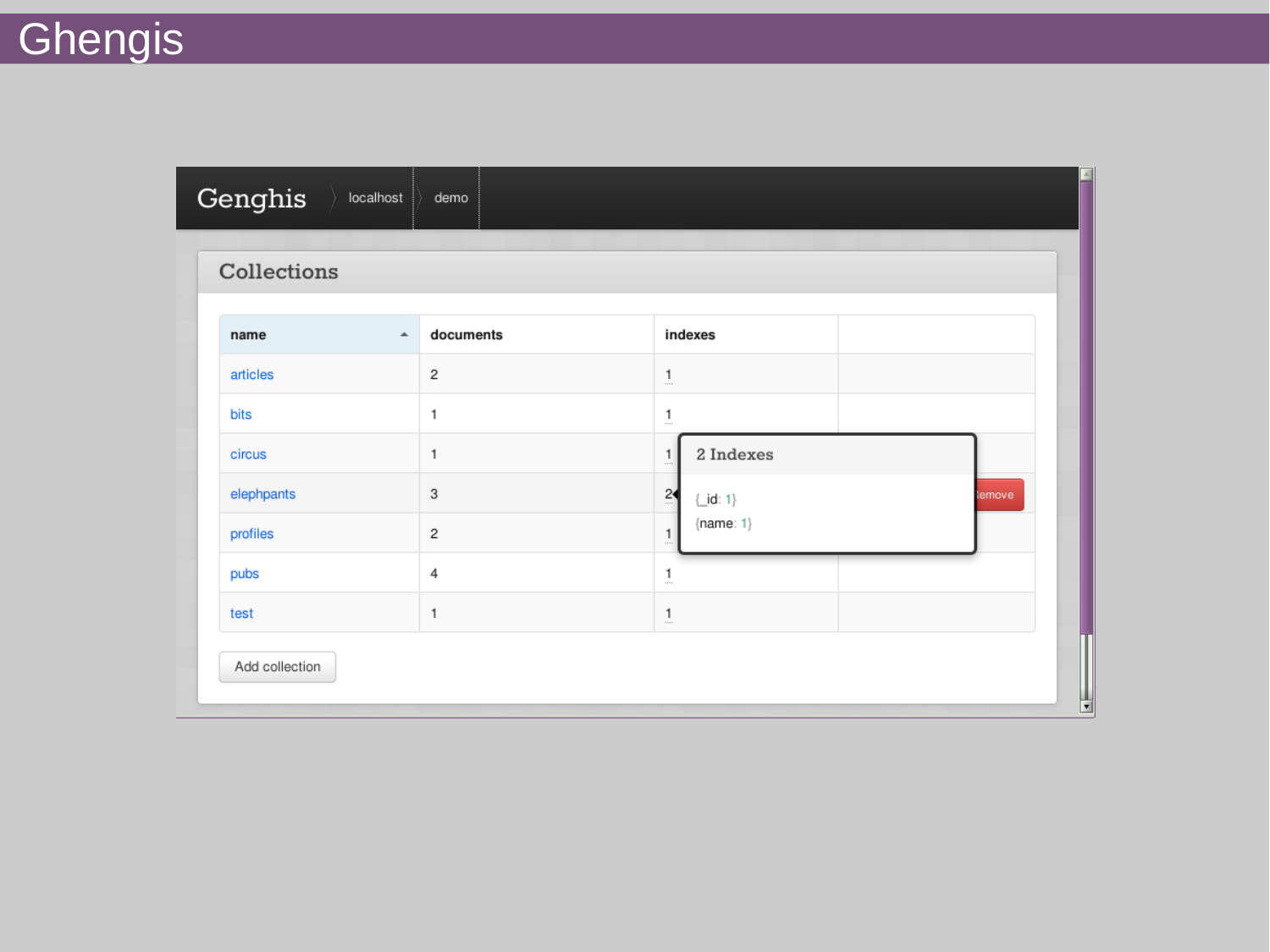| Genghis        |                  |                |                          |                          |        |
|----------------|------------------|----------------|--------------------------|--------------------------|--------|
| Collections    |                  |                |                          |                          |        |
| name           | $\blacktriangle$ | documents      |                          | indexes                  |        |
| articles       |                  | $\overline{c}$ | $\frac{1}{2}$            |                          |        |
| bits           |                  | $\mathbf{1}$   | $\underline{\mathbf{1}}$ |                          |        |
| circus         |                  | 1              | $\overline{1}$           | 2 Indexes                |        |
| elephpants     |                  | 3              | $\tilde{c}$              | $\{\underline{-}id: 1\}$ | lemove |
| profiles       |                  | $\mathbf{2}$   | $\mathbf{1}$<br>$\cdots$ | ${name: 1}$              |        |
| pubs           |                  | $\sqrt{4}$     | $\frac{1}{2}$            |                          |        |
| test           |                  | 1              | $\overline{1}$           |                          |        |
| Add collection |                  |                |                          |                          |        |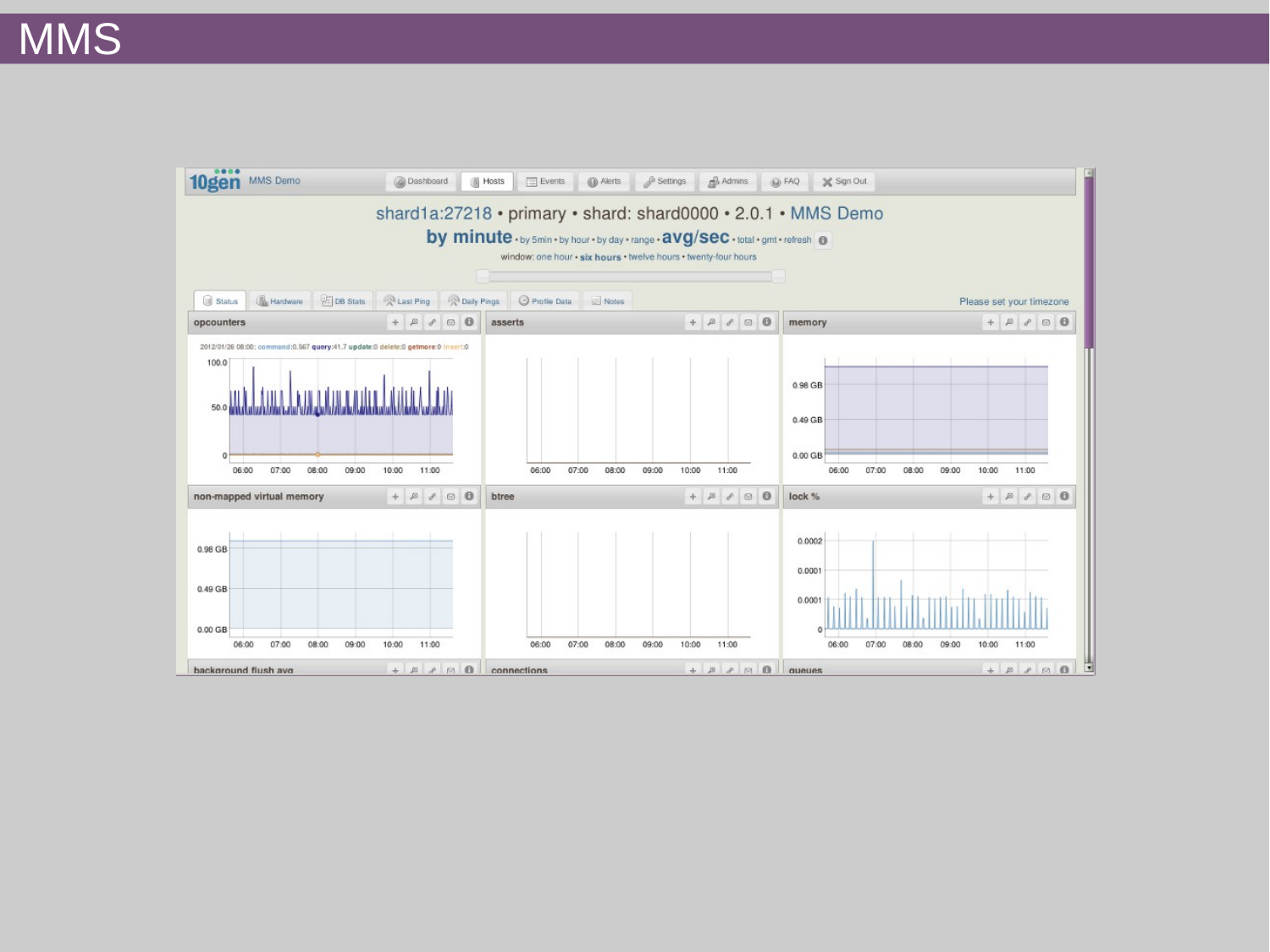